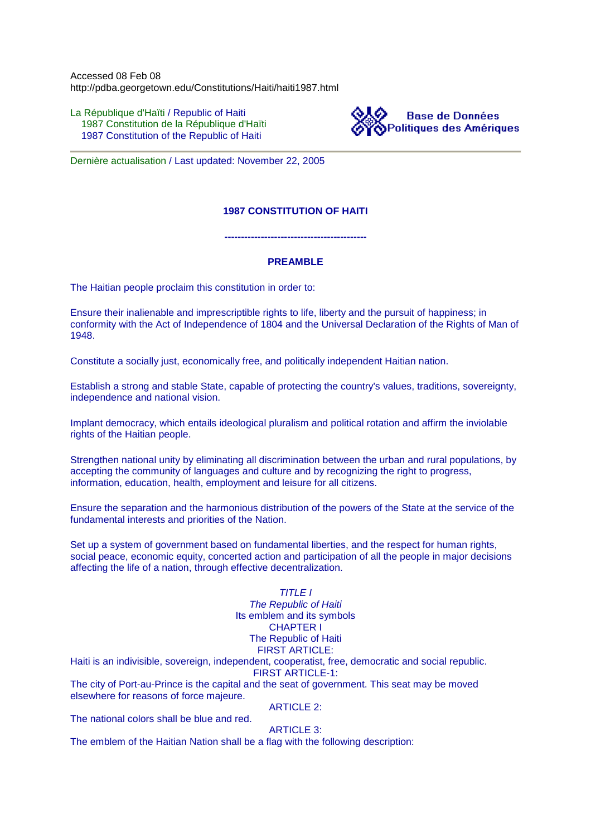Accessed 08 Feb 08 http://pdba.georgetown.edu/Constitutions/Haiti/haiti1987.html

La République d'Haïti / Republic of Haiti 1987 Constitution de la République d'Haïti 1987 Constitution of the Republic of Haiti



Dernière actualisation / Last updated: November 22, 2005

# **1987 CONSTITUTION OF HAITI**

**-------------------------------------------**

### **PREAMBLE**

The Haitian people proclaim this constitution in order to:

Ensure their inalienable and imprescriptible rights to life, liberty and the pursuit of happiness; in conformity with the Act of Independence of 1804 and the Universal Declaration of the Rights of Man of 1948.

Constitute a socially just, economically free, and politically independent Haitian nation.

Establish a strong and stable State, capable of protecting the country's values, traditions, sovereignty, independence and national vision.

Implant democracy, which entails ideological pluralism and political rotation and affirm the inviolable rights of the Haitian people.

Strengthen national unity by eliminating all discrimination between the urban and rural populations, by accepting the community of languages and culture and by recognizing the right to progress, information, education, health, employment and leisure for all citizens.

Ensure the separation and the harmonious distribution of the powers of the State at the service of the fundamental interests and priorities of the Nation.

Set up a system of government based on fundamental liberties, and the respect for human rights, social peace, economic equity, concerted action and participation of all the people in major decisions affecting the life of a nation, through effective decentralization.

# TITLE I The Republic of Haiti Its emblem and its symbols CHAPTER I The Republic of Haiti FIRST ARTICLE:

Haiti is an indivisible, sovereign, independent, cooperatist, free, democratic and social republic. FIRST ARTICLE-1:

The city of Port-au-Prince is the capital and the seat of government. This seat may be moved elsewhere for reasons of force majeure.

ARTICLE 2:

The national colors shall be blue and red.

ARTICLE 3:

The emblem of the Haitian Nation shall be a flag with the following description: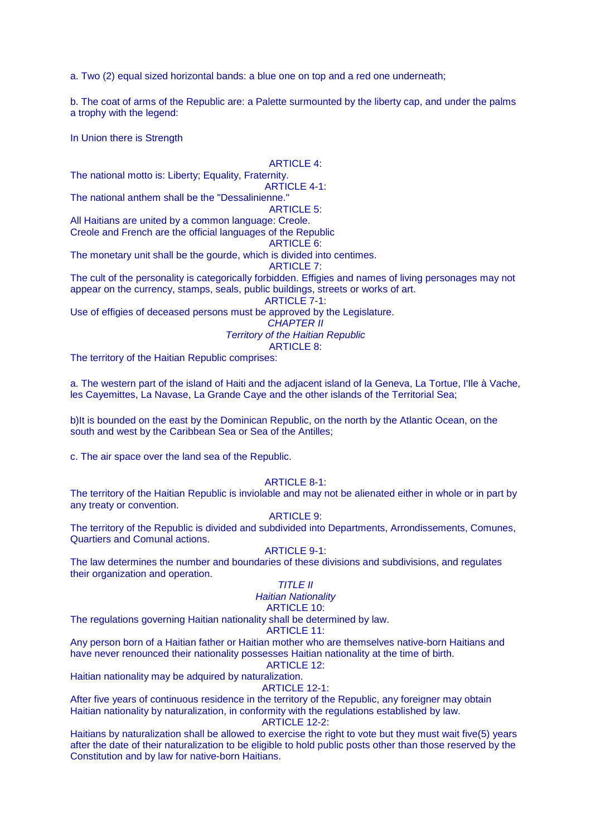a. Two (2) equal sized horizontal bands: a blue one on top and a red one underneath;

b. The coat of arms of the Republic are: a Palette surmounted by the liberty cap, and under the palms a trophy with the legend:

In Union there is Strength

#### ARTICLE 4:

The national motto is: Liberty; Equality, Fraternity.

ARTICLE 4-1: The national anthem shall be the "Dessalinienne."

ARTICLE 5:

All Haitians are united by a common language: Creole. Creole and French are the official languages of the Republic

ARTICLE 6:

The monetary unit shall be the gourde, which is divided into centimes.

ARTICLE 7:

The cult of the personality is categorically forbidden. Effigies and names of living personages may not appear on the currency, stamps, seals, public buildings, streets or works of art.

ARTICLE 7-1:

Use of effigies of deceased persons must be approved by the Legislature.

CHAPTER II

Territory of the Haitian Republic

ARTICLE 8:

The territory of the Haitian Republic comprises:

a. The western part of the island of Haiti and the adjacent island of la Geneva, La Tortue, I'Ile à Vache, les Cayemittes, La Navase, La Grande Caye and the other islands of the Territorial Sea;

b)It is bounded on the east by the Dominican Republic, on the north by the Atlantic Ocean, on the south and west by the Caribbean Sea or Sea of the Antilles;

c. The air space over the land sea of the Republic.

### ARTICLE 8-1:

The territory of the Haitian Republic is inviolable and may not be alienated either in whole or in part by any treaty or convention.

ARTICLE 9:

The territory of the Republic is divided and subdivided into Departments, Arrondissements, Comunes, Quartiers and Comunal actions.

ARTICLE 9-1:

The law determines the number and boundaries of these divisions and subdivisions, and regulates their organization and operation.

# TITLE II

# Haitian Nationality

ARTICLE 10:

The regulations governing Haitian nationality shall be determined by law.

### ARTICLE 11:

Any person born of a Haitian father or Haitian mother who are themselves native-born Haitians and have never renounced their nationality possesses Haitian nationality at the time of birth.

# ARTICLE 12:

Haitian nationality may be adquired by naturalization.

#### ARTICLE 12-1:

After five years of continuous residence in the territory of the Republic, any foreigner may obtain Haitian nationality by naturalization, in conformity with the regulations established by law. ARTICLE 12-2:

Haitians by naturalization shall be allowed to exercise the right to vote but they must wait five(5) years after the date of their naturalization to be eligible to hold public posts other than those reserved by the Constitution and by law for native-born Haitians.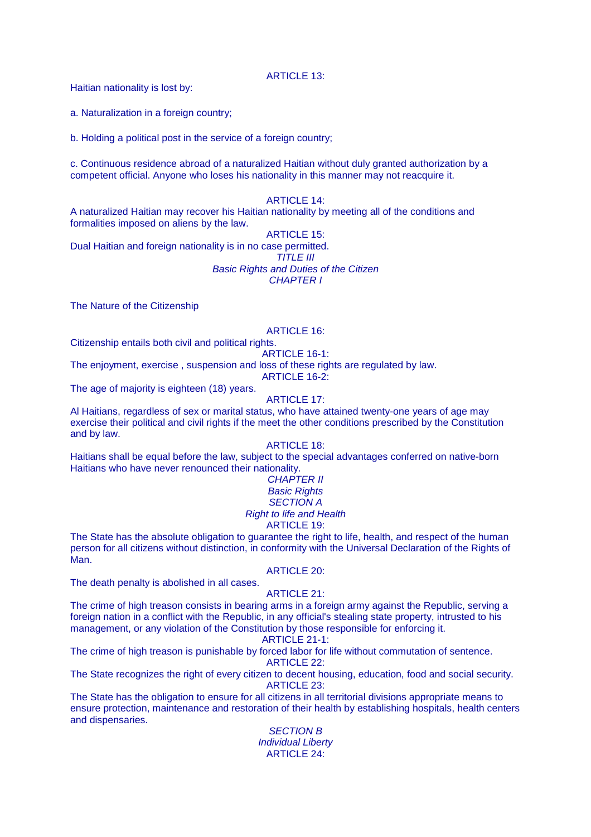ARTICLE 13:

Haitian nationality is lost by:

a. Naturalization in a foreign country;

b. Holding a political post in the service of a foreign country;

c. Continuous residence abroad of a naturalized Haitian without duly granted authorization by a competent official. Anyone who loses his nationality in this manner may not reacquire it.

#### ARTICLE 14:

A naturalized Haitian may recover his Haitian nationality by meeting all of the conditions and formalities imposed on aliens by the law.

# ARTICLE 15:

Dual Haitian and foreign nationality is in no case permitted.

# TITLE III

Basic Rights and Duties of the Citizen

CHAPTER I

The Nature of the Citizenship

# ARTICLE 16:

Citizenship entails both civil and political rights.

#### ARTICLE 16-1:

The enjoyment, exercise , suspension and loss of these rights are regulated by law.

ARTICLE 16-2:

The age of majority is eighteen (18) years.

### ARTICLE 17:

Al Haitians, regardless of sex or marital status, who have attained twenty-one years of age may exercise their political and civil rights if the meet the other conditions prescribed by the Constitution and by law.

# ARTICLE 18:

Haitians shall be equal before the law, subject to the special advantages conferred on native-born Haitians who have never renounced their nationality.

#### **CHAPTER II Basic Rights** SECTION A Right to life and Health ARTICLE 19:

The State has the absolute obligation to guarantee the right to life, health, and respect of the human person for all citizens without distinction, in conformity with the Universal Declaration of the Rights of Man.

#### ARTICLE 20:

The death penalty is abolished in all cases.

# ARTICLE 21:

The crime of high treason consists in bearing arms in a foreign army against the Republic, serving a foreign nation in a conflict with the Republic, in any official's stealing state property, intrusted to his management, or any violation of the Constitution by those responsible for enforcing it.

# ARTICLE 21-1:

The crime of high treason is punishable by forced labor for life without commutation of sentence. ARTICLE 22:

The State recognizes the right of every citizen to decent housing, education, food and social security. ARTICLE 23:

The State has the obligation to ensure for all citizens in all territorial divisions appropriate means to ensure protection, maintenance and restoration of their health by establishing hospitals, health centers and dispensaries.

SECTION B Individual Liberty ARTICLE 24: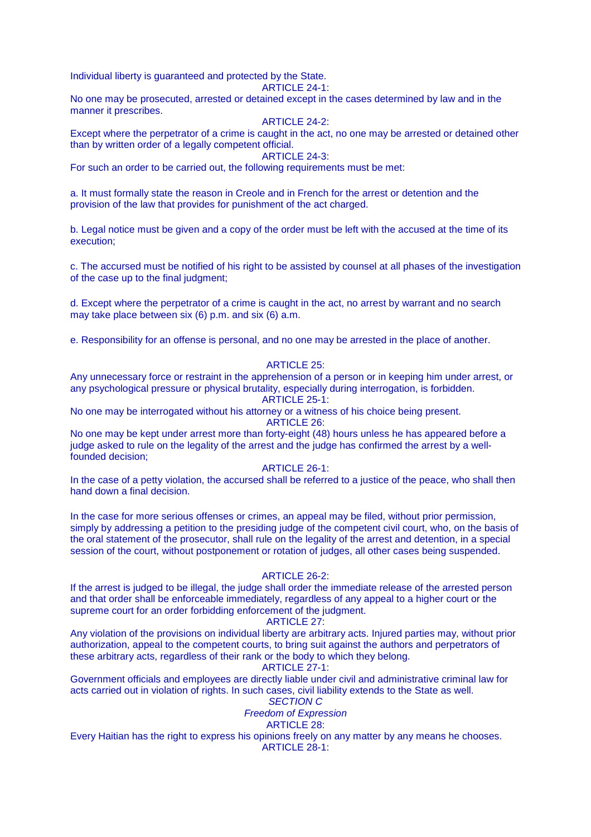Individual liberty is guaranteed and protected by the State.

ARTICLE 24-1:

No one may be prosecuted, arrested or detained except in the cases determined by law and in the manner it prescribes.

#### ARTICLE 24-2:

Except where the perpetrator of a crime is caught in the act, no one may be arrested or detained other than by written order of a legally competent official.

#### ARTICLE 24-3:

For such an order to be carried out, the following requirements must be met:

a. It must formally state the reason in Creole and in French for the arrest or detention and the provision of the law that provides for punishment of the act charged.

b. Legal notice must be given and a copy of the order must be left with the accused at the time of its execution;

c. The accursed must be notified of his right to be assisted by counsel at all phases of the investigation of the case up to the final judgment;

d. Except where the perpetrator of a crime is caught in the act, no arrest by warrant and no search may take place between six (6) p.m. and six (6) a.m.

e. Responsibility for an offense is personal, and no one may be arrested in the place of another.

# ARTICLE 25:

Any unnecessary force or restraint in the apprehension of a person or in keeping him under arrest, or any psychological pressure or physical brutality, especially during interrogation, is forbidden.

ARTICLE 25-1:

No one may be interrogated without his attorney or a witness of his choice being present. ARTICLE 26:

No one may be kept under arrest more than forty-eight (48) hours unless he has appeared before a judge asked to rule on the legality of the arrest and the judge has confirmed the arrest by a wellfounded decision;

#### ARTICLE 26-1:

In the case of a petty violation, the accursed shall be referred to a justice of the peace, who shall then hand down a final decision.

In the case for more serious offenses or crimes, an appeal may be filed, without prior permission, simply by addressing a petition to the presiding judge of the competent civil court, who, on the basis of the oral statement of the prosecutor, shall rule on the legality of the arrest and detention, in a special session of the court, without postponement or rotation of judges, all other cases being suspended.

#### ARTICLE 26-2:

If the arrest is judged to be illegal, the judge shall order the immediate release of the arrested person and that order shall be enforceable immediately, regardless of any appeal to a higher court or the supreme court for an order forbidding enforcement of the judgment.

#### ARTICLE 27:

Any violation of the provisions on individual liberty are arbitrary acts. Injured parties may, without prior authorization, appeal to the competent courts, to bring suit against the authors and perpetrators of these arbitrary acts, regardless of their rank or the body to which they belong.

# ARTICLE 27-1:

Government officials and employees are directly liable under civil and administrative criminal law for acts carried out in violation of rights. In such cases, civil liability extends to the State as well.

# SECTION C

#### Freedom of Expression ARTICLE 28:

Every Haitian has the right to express his opinions freely on any matter by any means he chooses. ARTICLE 28-1: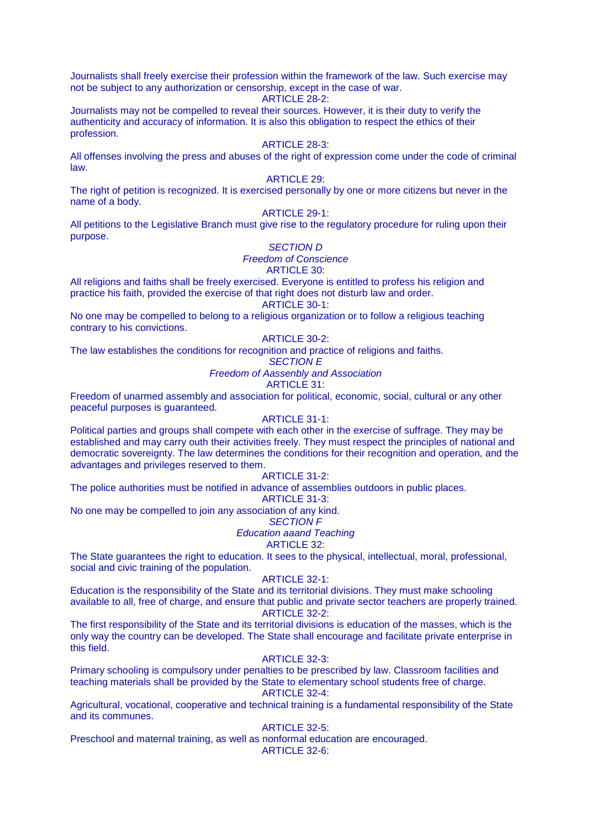Journalists shall freely exercise their profession within the framework of the law. Such exercise may not be subject to any authorization or censorship, except in the case of war.

ARTICLE 28-2:

Journalists may not be compelled to reveal their sources. However, it is their duty to verify the authenticity and accuracy of information. It is also this obligation to respect the ethics of their profession.

#### ARTICLE 28-3:

All offenses involving the press and abuses of the right of expression come under the code of criminal law.

# ARTICLE 29:

The right of petition is recognized. It is exercised personally by one or more citizens but never in the name of a body.

# ARTICLE 29-1:

All petitions to the Legislative Branch must give rise to the regulatory procedure for ruling upon their purpose.

# SECTION D

Freedom of Conscience

# ARTICLE 30:

All religions and faiths shall be freely exercised. Everyone is entitled to profess his religion and practice his faith, provided the exercise of that right does not disturb law and order.

ARTICLE 30-1:

No one may be compelled to belong to a religious organization or to follow a religious teaching contrary to his convictions.

# ARTICLE 30-2:

The law establishes the conditions for recognition and practice of religions and faiths.

#### SECTION E

Freedom of Aassenbly and Association

ARTICLE 31:

Freedom of unarmed assembly and association for political, economic, social, cultural or any other peaceful purposes is guaranteed.

# ARTICLE 31-1:

Political parties and groups shall compete with each other in the exercise of suffrage. They may be established and may carry outh their activities freely. They must respect the principles of national and democratic sovereignty. The law determines the conditions for their recognition and operation, and the advantages and privileges reserved to them.

#### ARTICLE 31-2:

The police authorities must be notified in advance of assemblies outdoors in public places.

### ARTICLE 31-3:

No one may be compelled to join any association of any kind.

#### SECTION F Education aaand Teaching

# ARTICLE 32:

The State guarantees the right to education. It sees to the physical, intellectual, moral, professional, social and civic training of the population.

#### ARTICLE 32-1:

Education is the responsibility of the State and its territorial divisions. They must make schooling available to all, free of charge, and ensure that public and private sector teachers are properly trained. ARTICLE 32-2:

The first responsibility of the State and its territorial divisions is education of the masses, which is the only way the country can be developed. The State shall encourage and facilitate private enterprise in this field.

#### ARTICLE 32-3:

Primary schooling is compulsory under penalties to be prescribed by law. Classroom facilities and teaching materials shall be provided by the State to elementary school students free of charge. ARTICLE 32-4:

Agricultural, vocational, cooperative and technical training is a fundamental responsibility of the State and its communes.

# ARTICLE 32-5:

Preschool and maternal training, as well as nonformal education are encouraged.

ARTICLE 32-6: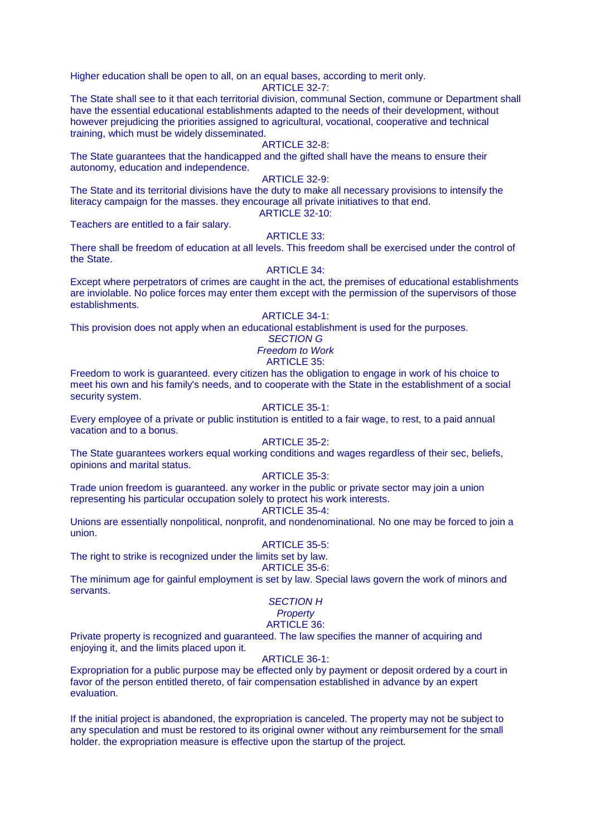Higher education shall be open to all, on an equal bases, according to merit only.

ARTICLE 32-7:

The State shall see to it that each territorial division, communal Section, commune or Department shall have the essential educational establishments adapted to the needs of their development, without however prejudicing the priorities assigned to agricultural, vocational, cooperative and technical training, which must be widely disseminated.

# ARTICLE 32-8:

The State guarantees that the handicapped and the gifted shall have the means to ensure their autonomy, education and independence.

# ARTICLE 32-9:

The State and its territorial divisions have the duty to make all necessary provisions to intensify the literacy campaign for the masses. they encourage all private initiatives to that end.

ARTICLE 32-10:

# Teachers are entitled to a fair salary.

# ARTICLE 33:

There shall be freedom of education at all levels. This freedom shall be exercised under the control of the State.

# ARTICLE 34:

Except where perpetrators of crimes are caught in the act, the premises of educational establishments are inviolable. No police forces may enter them except with the permission of the supervisors of those establishments.

#### ARTICLE 34-1:

This provision does not apply when an educational establishment is used for the purposes.

# SECTION G

Freedom to Work

# ARTICLE 35:

Freedom to work is guaranteed. every citizen has the obligation to engage in work of his choice to meet his own and his family's needs, and to cooperate with the State in the establishment of a social security system.

# ARTICLE 35-1:

Every employee of a private or public institution is entitled to a fair wage, to rest, to a paid annual vacation and to a bonus.

# ARTICLE 35-2:

The State guarantees workers equal working conditions and wages regardless of their sec, beliefs, opinions and marital status.

# ARTICLE 35-3:

Trade union freedom is guaranteed. any worker in the public or private sector may join a union representing his particular occupation solely to protect his work interests.

# ARTICLE 35-4:

Unions are essentially nonpolitical, nonprofit, and nondenominational. No one may be forced to join a union.

# ARTICLE 35-5:

The right to strike is recognized under the limits set by law. ARTICLE 35-6:

The minimum age for gainful employment is set by law. Special laws govern the work of minors and servants.

# SECTION H

# **Property**

# ARTICLE 36:

Private property is recognized and guaranteed. The law specifies the manner of acquiring and enjoying it, and the limits placed upon it.

# ARTICLE 36-1:

Expropriation for a public purpose may be effected only by payment or deposit ordered by a court in favor of the person entitled thereto, of fair compensation established in advance by an expert evaluation.

If the initial project is abandoned, the expropriation is canceled. The property may not be subject to any speculation and must be restored to its original owner without any reimbursement for the small holder. the expropriation measure is effective upon the startup of the project.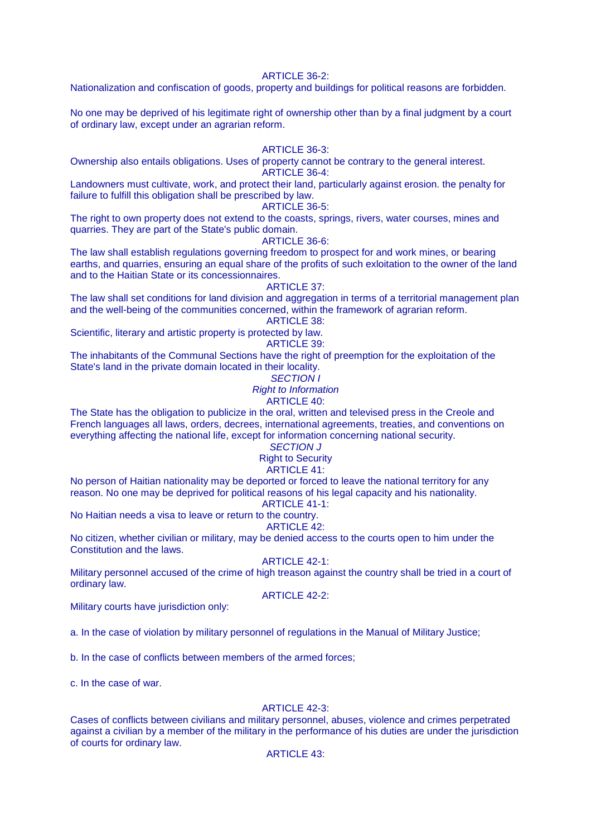#### ARTICLE  $36-2$

Nationalization and confiscation of goods, property and buildings for political reasons are forbidden.

No one may be deprived of his legitimate right of ownership other than by a final judgment by a court of ordinary law, except under an agrarian reform.

# ARTICLE 36-3:

Ownership also entails obligations. Uses of property cannot be contrary to the general interest. ARTICLE 36-4:

Landowners must cultivate, work, and protect their land, particularly against erosion. the penalty for failure to fulfill this obligation shall be prescribed by law.

### ARTICLE 36-5:

The right to own property does not extend to the coasts, springs, rivers, water courses, mines and quarries. They are part of the State's public domain.

#### ARTICLE 36-6:

The law shall establish regulations governing freedom to prospect for and work mines, or bearing earths, and quarries, ensuring an equal share of the profits of such exloitation to the owner of the land and to the Haitian State or its concessionnaires.

# ARTICLE 37:

The law shall set conditions for land division and aggregation in terms of a territorial management plan and the well-being of the communities concerned, within the framework of agrarian reform. ARTICLE 38:

Scientific, literary and artistic property is protected by law.

ARTICLE 39:

The inhabitants of the Communal Sections have the right of preemption for the exploitation of the State's land in the private domain located in their locality.

# SECTION I

Right to Information

# ARTICLE 40:

The State has the obligation to publicize in the oral, written and televised press in the Creole and French languages all laws, orders, decrees, international agreements, treaties, and conventions on everything affecting the national life, except for information concerning national security.

# SECTION J

# Right to Security

# ARTICLE 41:

No person of Haitian nationality may be deported or forced to leave the national territory for any reason. No one may be deprived for political reasons of his legal capacity and his nationality.

ARTICLE 41-1:

No Haitian needs a visa to leave or return to the country.

# ARTICLE 42:

No citizen, whether civilian or military, may be denied access to the courts open to him under the Constitution and the laws.

#### ARTICLE 42-1:

Military personnel accused of the crime of high treason against the country shall be tried in a court of ordinary law.

ARTICLE 42-2:

Military courts have jurisdiction only:

a. In the case of violation by military personnel of regulations in the Manual of Military Justice;

b. In the case of conflicts between members of the armed forces;

c. In the case of war.

# ARTICLE 42-3:

Cases of conflicts between civilians and military personnel, abuses, violence and crimes perpetrated against a civilian by a member of the military in the performance of his duties are under the jurisdiction of courts for ordinary law.

#### ARTICLE 43: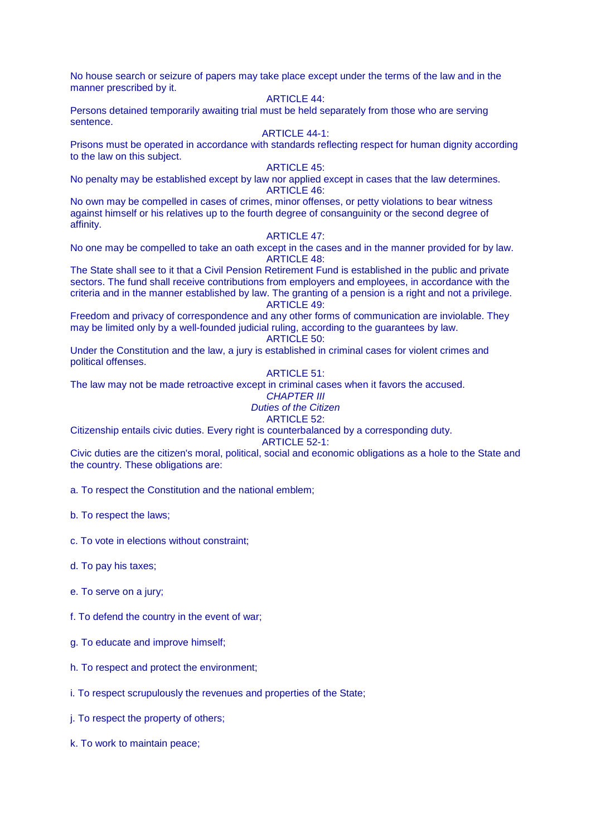No house search or seizure of papers may take place except under the terms of the law and in the manner prescribed by it.

# ARTICLE 44:

Persons detained temporarily awaiting trial must be held separately from those who are serving sentence.

# ARTICLE 44-1:

Prisons must be operated in accordance with standards reflecting respect for human dignity according to the law on this subject.

# ARTICLE 45:

No penalty may be established except by law nor applied except in cases that the law determines. ARTICLE 46:

No own may be compelled in cases of crimes, minor offenses, or petty violations to bear witness against himself or his relatives up to the fourth degree of consanguinity or the second degree of affinity.

# ARTICLE 47:

No one may be compelled to take an oath except in the cases and in the manner provided for by law. ARTICLE 48:

The State shall see to it that a Civil Pension Retirement Fund is established in the public and private sectors. The fund shall receive contributions from employers and employees, in accordance with the criteria and in the manner established by law. The granting of a pension is a right and not a privilege. ARTICLE 49:

Freedom and privacy of correspondence and any other forms of communication are inviolable. They may be limited only by a well-founded judicial ruling, according to the guarantees by law. ARTICLE 50:

Under the Constitution and the law, a jury is established in criminal cases for violent crimes and political offenses.

#### ARTICLE 51:

The law may not be made retroactive except in criminal cases when it favors the accused.

# **CHAPTER III**

Duties of the Citizen ARTICLE 52:

Citizenship entails civic duties. Every right is counterbalanced by a corresponding duty.

ARTICLE 52-1:

Civic duties are the citizen's moral, political, social and economic obligations as a hole to the State and the country. These obligations are:

a. To respect the Constitution and the national emblem;

b. To respect the laws;

c. To vote in elections without constraint;

- d. To pay his taxes;
- e. To serve on a jury;

f. To defend the country in the event of war;

- g. To educate and improve himself;
- h. To respect and protect the environment;
- i. To respect scrupulously the revenues and properties of the State;
- j. To respect the property of others;
- k. To work to maintain peace;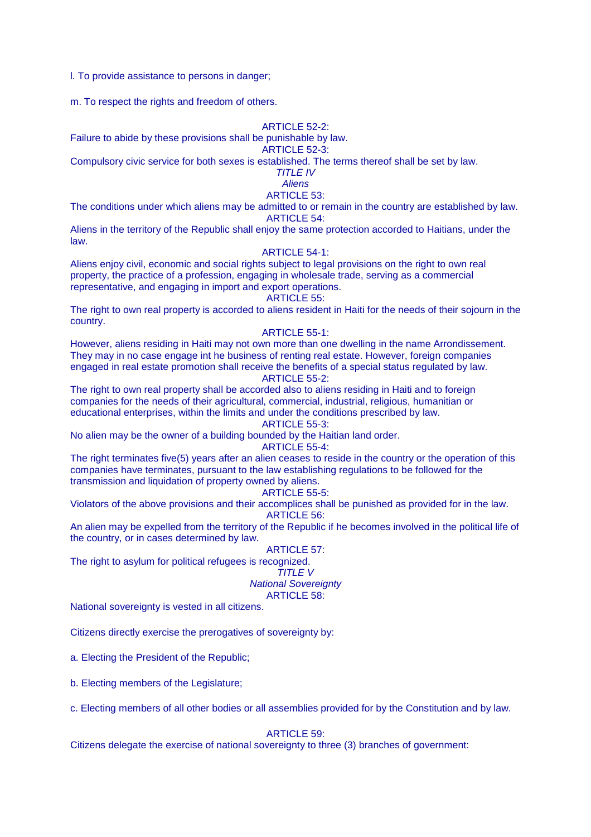l. To provide assistance to persons in danger;

m. To respect the rights and freedom of others.

# ARTICLE 52-2:

Failure to abide by these provisions shall be punishable by law.

ARTICLE 52-3:

Compulsory civic service for both sexes is established. The terms thereof shall be set by law.

TITLE IV

**Aliens** ARTICLE 53:

The conditions under which aliens may be admitted to or remain in the country are established by law. ARTICLE 54:

Aliens in the territory of the Republic shall enjoy the same protection accorded to Haitians, under the law.

# ARTICLE 54-1:

Aliens enjoy civil, economic and social rights subject to legal provisions on the right to own real property, the practice of a profession, engaging in wholesale trade, serving as a commercial representative, and engaging in import and export operations.

#### ARTICLE 55:

The right to own real property is accorded to aliens resident in Haiti for the needs of their sojourn in the country.

# ARTICLE 55-1:

However, aliens residing in Haiti may not own more than one dwelling in the name Arrondissement. They may in no case engage int he business of renting real estate. However, foreign companies engaged in real estate promotion shall receive the benefits of a special status regulated by law. ARTICLE 55-2:

The right to own real property shall be accorded also to aliens residing in Haiti and to foreign companies for the needs of their agricultural, commercial, industrial, religious, humanitian or educational enterprises, within the limits and under the conditions prescribed by law.

# ARTICLE 55-3:

No alien may be the owner of a building bounded by the Haitian land order. ARTICLE 55-4:

The right terminates five(5) years after an alien ceases to reside in the country or the operation of this companies have terminates, pursuant to the law establishing regulations to be followed for the transmission and liquidation of property owned by aliens.

# ARTICLE 55-5:

Violators of the above provisions and their accomplices shall be punished as provided for in the law. ARTICLE 56:

An alien may be expelled from the territory of the Republic if he becomes involved in the political life of the country, or in cases determined by law.

# ARTICLE 57:

The right to asylum for political refugees is recognized.

# TITLE V

National Sovereignty

ARTICLE 58:

National sovereignty is vested in all citizens.

Citizens directly exercise the prerogatives of sovereignty by:

a. Electing the President of the Republic;

b. Electing members of the Legislature;

c. Electing members of all other bodies or all assemblies provided for by the Constitution and by law.

ARTICLE 59:

Citizens delegate the exercise of national sovereignty to three (3) branches of government: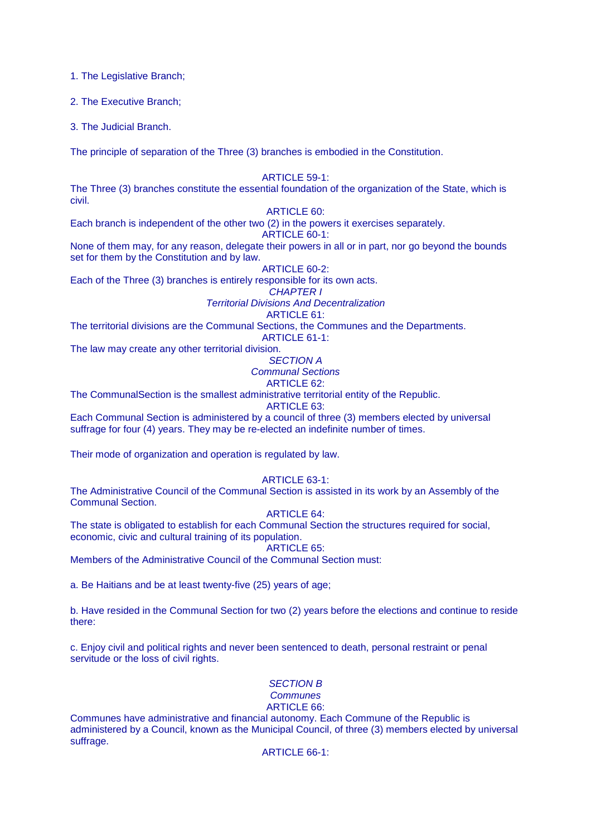1. The Legislative Branch;

2. The Executive Branch;

3. The Judicial Branch.

The principle of separation of the Three (3) branches is embodied in the Constitution.

ARTICLE 59-1:

The Three (3) branches constitute the essential foundation of the organization of the State, which is civil.

# ARTICLE 60:

Each branch is independent of the other two (2) in the powers it exercises separately. ARTICLE 60-1:

None of them may, for any reason, delegate their powers in all or in part, nor go beyond the bounds set for them by the Constitution and by law.

ARTICLE 60-2:

Each of the Three (3) branches is entirely responsible for its own acts.

CHAPTER I

Territorial Divisions And Decentralization

ARTICLE 61:

The territorial divisions are the Communal Sections, the Communes and the Departments.

ARTICLE 61-1:

The law may create any other territorial division.

SECTION A Communal Sections

ARTICLE 62:

The CommunalSection is the smallest administrative territorial entity of the Republic.

ARTICLE 63:

Each Communal Section is administered by a council of three (3) members elected by universal suffrage for four (4) years. They may be re-elected an indefinite number of times.

Their mode of organization and operation is regulated by law.

ARTICLE 63-1:

The Administrative Council of the Communal Section is assisted in its work by an Assembly of the Communal Section.

ARTICLE 64:

The state is obligated to establish for each Communal Section the structures required for social, economic, civic and cultural training of its population.

ARTICLE 65:

Members of the Administrative Council of the Communal Section must:

a. Be Haitians and be at least twenty-five (25) years of age;

b. Have resided in the Communal Section for two (2) years before the elections and continue to reside there:

c. Enjoy civil and political rights and never been sentenced to death, personal restraint or penal servitude or the loss of civil rights.

# SECTION B

#### **Communes** ARTICLE 66:

Communes have administrative and financial autonomy. Each Commune of the Republic is administered by a Council, known as the Municipal Council, of three (3) members elected by universal suffrage.

ARTICLE 66-1: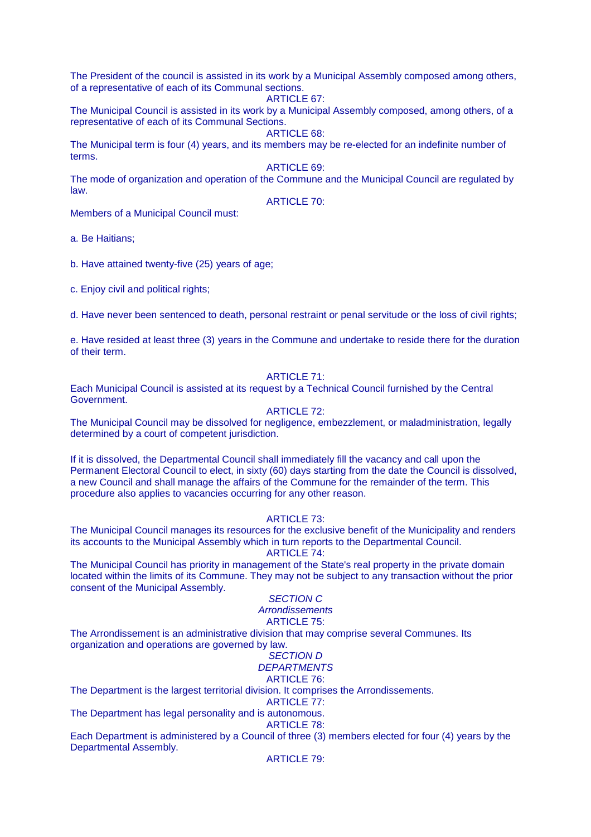The President of the council is assisted in its work by a Municipal Assembly composed among others, of a representative of each of its Communal sections.

#### ARTICLE 67:

The Municipal Council is assisted in its work by a Municipal Assembly composed, among others, of a representative of each of its Communal Sections.

ARTICLE 68:

The Municipal term is four (4) years, and its members may be re-elected for an indefinite number of terms.

ARTICLE 69:

The mode of organization and operation of the Commune and the Municipal Council are regulated by law.

ARTICLE 70:

Members of a Municipal Council must:

a. Be Haitians;

b. Have attained twenty-five (25) years of age;

c. Enjoy civil and political rights;

d. Have never been sentenced to death, personal restraint or penal servitude or the loss of civil rights;

e. Have resided at least three (3) years in the Commune and undertake to reside there for the duration of their term.

### ARTICLE 71:

Each Municipal Council is assisted at its request by a Technical Council furnished by the Central Government.

# ARTICLE  $72$ :

The Municipal Council may be dissolved for negligence, embezzlement, or maladministration, legally determined by a court of competent jurisdiction.

If it is dissolved, the Departmental Council shall immediately fill the vacancy and call upon the Permanent Electoral Council to elect, in sixty (60) days starting from the date the Council is dissolved, a new Council and shall manage the affairs of the Commune for the remainder of the term. This procedure also applies to vacancies occurring for any other reason.

#### ARTICLE 73:

The Municipal Council manages its resources for the exclusive benefit of the Municipality and renders its accounts to the Municipal Assembly which in turn reports to the Departmental Council.

ARTICLE 74:

The Municipal Council has priority in management of the State's real property in the private domain located within the limits of its Commune. They may not be subject to any transaction without the prior consent of the Municipal Assembly.

# SECTION C

# **Arrondissements**

ARTICLE 75:

The Arrondissement is an administrative division that may comprise several Communes. Its organization and operations are governed by law.

#### SECTION D **DEPARTMENTS**

# ARTICLE 76:

The Department is the largest territorial division. It comprises the Arrondissements.

# ARTICLE 77:

The Department has legal personality and is autonomous.

ARTICLE 78:

Each Department is administered by a Council of three (3) members elected for four (4) years by the Departmental Assembly.

#### ARTICLE 79: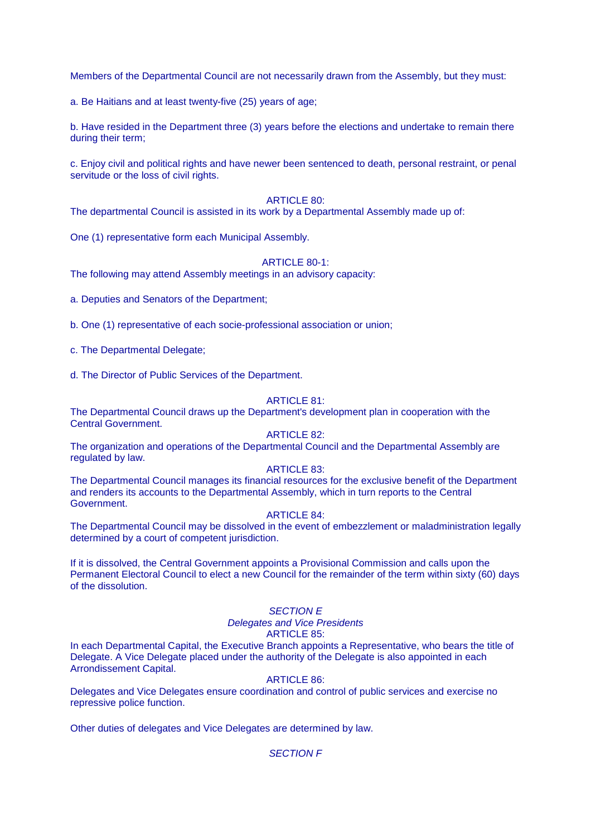Members of the Departmental Council are not necessarily drawn from the Assembly, but they must:

a. Be Haitians and at least twenty-five (25) years of age;

b. Have resided in the Department three (3) years before the elections and undertake to remain there during their term;

c. Enjoy civil and political rights and have newer been sentenced to death, personal restraint, or penal servitude or the loss of civil rights.

#### ARTICLE 80:

The departmental Council is assisted in its work by a Departmental Assembly made up of:

One (1) representative form each Municipal Assembly.

#### ARTICLE 80-1:

The following may attend Assembly meetings in an advisory capacity:

a. Deputies and Senators of the Department;

b. One (1) representative of each socie-professional association or union;

c. The Departmental Delegate;

d. The Director of Public Services of the Department.

#### ARTICLE 81:

The Departmental Council draws up the Department's development plan in cooperation with the Central Government.

#### ARTICLE 82:

The organization and operations of the Departmental Council and the Departmental Assembly are regulated by law.

#### ARTICLE 83:

The Departmental Council manages its financial resources for the exclusive benefit of the Department and renders its accounts to the Departmental Assembly, which in turn reports to the Central Government.

#### ARTICLE 84:

The Departmental Council may be dissolved in the event of embezzlement or maladministration legally determined by a court of competent jurisdiction.

If it is dissolved, the Central Government appoints a Provisional Commission and calls upon the Permanent Electoral Council to elect a new Council for the remainder of the term within sixty (60) days of the dissolution.

# SECTION E

Delegates and Vice Presidents

# ARTICLE 85:

In each Departmental Capital, the Executive Branch appoints a Representative, who bears the title of Delegate. A Vice Delegate placed under the authority of the Delegate is also appointed in each Arrondissement Capital.

#### ARTICLE 86:

Delegates and Vice Delegates ensure coordination and control of public services and exercise no repressive police function.

Other duties of delegates and Vice Delegates are determined by law.

#### SECTION F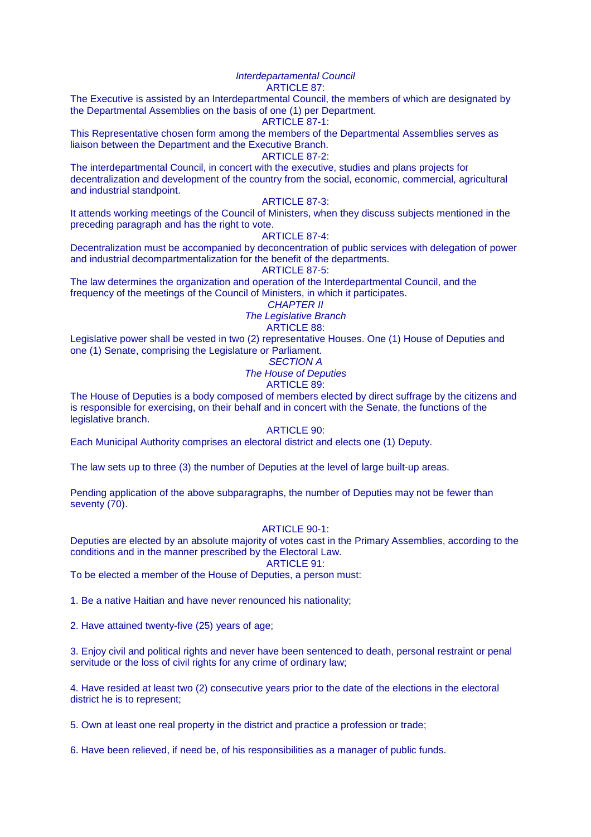#### Interdepartamental Council ARTICLE 87:

The Executive is assisted by an Interdepartmental Council, the members of which are designated by the Departmental Assemblies on the basis of one (1) per Department.

# ARTICLE 87-1:

This Representative chosen form among the members of the Departmental Assemblies serves as liaison between the Department and the Executive Branch.

#### ARTICLE 87-2:

The interdepartmental Council, in concert with the executive, studies and plans projects for decentralization and development of the country from the social, economic, commercial, agricultural and industrial standpoint.

# ARTICLE 87-3:

It attends working meetings of the Council of Ministers, when they discuss subjects mentioned in the preceding paragraph and has the right to vote.

#### ARTICLE 87-4:

Decentralization must be accompanied by deconcentration of public services with delegation of power and industrial decompartmentalization for the benefit of the departments.

ARTICLE 87-5:

The law determines the organization and operation of the Interdepartmental Council, and the frequency of the meetings of the Council of Ministers, in which it participates.

CHAPTER II

The Legislative Branch

# ARTICLE 88:

Legislative power shall be vested in two (2) representative Houses. One (1) House of Deputies and one (1) Senate, comprising the Legislature or Parliament.

# SECTION A

The House of Deputies

# ARTICLE 89:

The House of Deputies is a body composed of members elected by direct suffrage by the citizens and is responsible for exercising, on their behalf and in concert with the Senate, the functions of the legislative branch.

# ARTICLE 90:

Each Municipal Authority comprises an electoral district and elects one (1) Deputy.

The law sets up to three (3) the number of Deputies at the level of large built-up areas.

Pending application of the above subparagraphs, the number of Deputies may not be fewer than seventy (70).

# ARTICLE 90-1:

Deputies are elected by an absolute majority of votes cast in the Primary Assemblies, according to the conditions and in the manner prescribed by the Electoral Law.

ARTICLE 91:

To be elected a member of the House of Deputies, a person must:

1. Be a native Haitian and have never renounced his nationality;

2. Have attained twenty-five (25) years of age;

3. Enjoy civil and political rights and never have been sentenced to death, personal restraint or penal servitude or the loss of civil rights for any crime of ordinary law;

4. Have resided at least two (2) consecutive years prior to the date of the elections in the electoral district he is to represent;

5. Own at least one real property in the district and practice a profession or trade;

6. Have been relieved, if need be, of his responsibilities as a manager of public funds.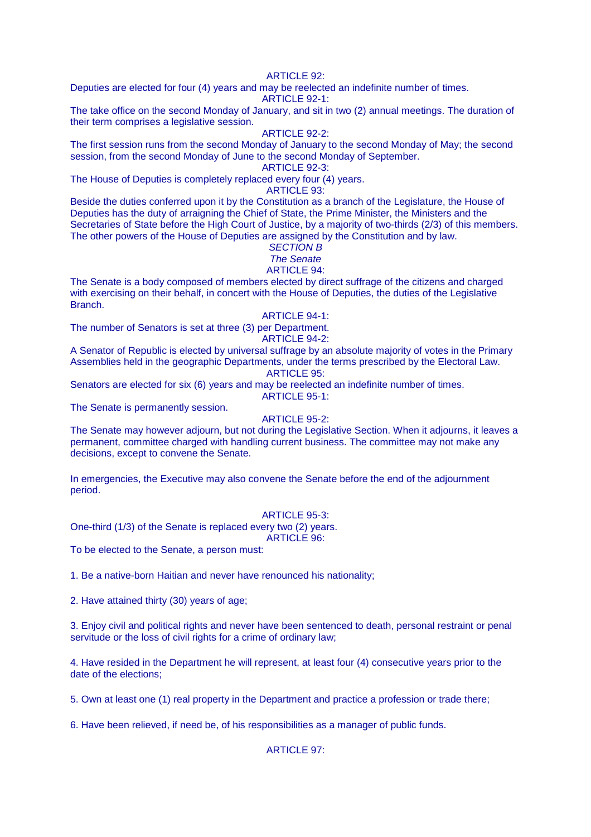# **ARTICLE 92:**

Deputies are elected for four (4) years and may be reelected an indefinite number of times. ARTICLE 92-1:

The take office on the second Monday of January, and sit in two (2) annual meetings. The duration of their term comprises a legislative session.

# ARTICLE 92-2:

The first session runs from the second Monday of January to the second Monday of May; the second session, from the second Monday of June to the second Monday of September.

ARTICLE 92-3:

The House of Deputies is completely replaced every four (4) years.

ARTICLE 93:

Beside the duties conferred upon it by the Constitution as a branch of the Legislature, the House of Deputies has the duty of arraigning the Chief of State, the Prime Minister, the Ministers and the Secretaries of State before the High Court of Justice, by a majority of two-thirds (2/3) of this members. The other powers of the House of Deputies are assigned by the Constitution and by law.

# SECTION B

# The Senate

# ARTICLE 94:

The Senate is a body composed of members elected by direct suffrage of the citizens and charged with exercising on their behalf, in concert with the House of Deputies, the duties of the Legislative Branch.

# ARTICLE 94-1:

The number of Senators is set at three (3) per Department.

ARTICLE 94-2:

A Senator of Republic is elected by universal suffrage by an absolute majority of votes in the Primary Assemblies held in the geographic Departments, under the terms prescribed by the Electoral Law. ARTICLE 95:

Senators are elected for six (6) years and may be reelected an indefinite number of times. ARTICLE 95-1:

The Senate is permanently session.

# ARTICLE 95-2:

The Senate may however adjourn, but not during the Legislative Section. When it adjourns, it leaves a permanent, committee charged with handling current business. The committee may not make any decisions, except to convene the Senate.

In emergencies, the Executive may also convene the Senate before the end of the adjournment period.

#### ARTICLE 95-3:

One-third (1/3) of the Senate is replaced every two (2) years.

ARTICLE 96:

To be elected to the Senate, a person must:

1. Be a native-born Haitian and never have renounced his nationality;

2. Have attained thirty (30) years of age;

3. Enjoy civil and political rights and never have been sentenced to death, personal restraint or penal servitude or the loss of civil rights for a crime of ordinary law;

4. Have resided in the Department he will represent, at least four (4) consecutive years prior to the date of the elections;

5. Own at least one (1) real property in the Department and practice a profession or trade there;

6. Have been relieved, if need be, of his responsibilities as a manager of public funds.

ARTICLE 97: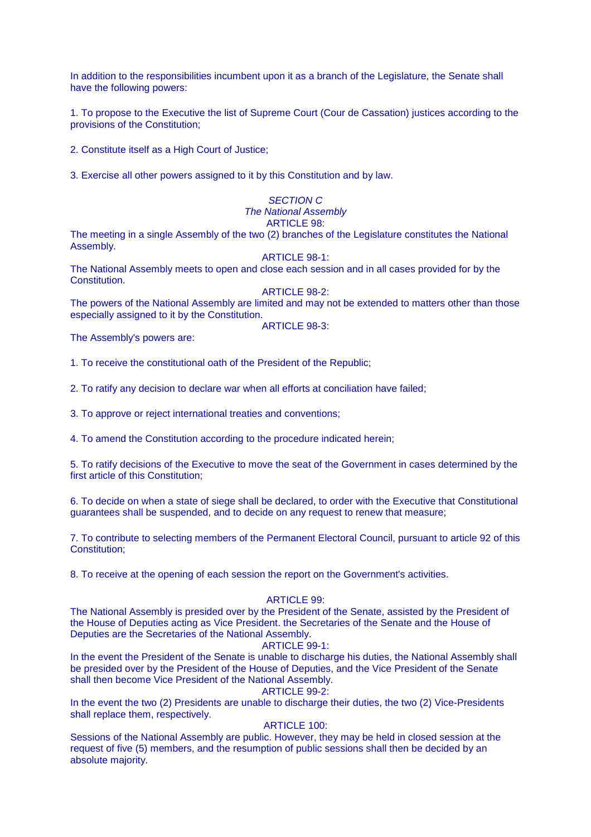In addition to the responsibilities incumbent upon it as a branch of the Legislature, the Senate shall have the following powers:

1. To propose to the Executive the list of Supreme Court (Cour de Cassation) justices according to the provisions of the Constitution;

2. Constitute itself as a High Court of Justice;

3. Exercise all other powers assigned to it by this Constitution and by law.

#### SECTION C The National Assembly ARTICLE 98:

The meeting in a single Assembly of the two (2) branches of the Legislature constitutes the National Assembly.

#### ARTICLE 98-1:

The National Assembly meets to open and close each session and in all cases provided for by the Constitution.

#### ARTICLE 98-2:

The powers of the National Assembly are limited and may not be extended to matters other than those especially assigned to it by the Constitution.

ARTICLE 98-3:

The Assembly's powers are:

1. To receive the constitutional oath of the President of the Republic;

2. To ratify any decision to declare war when all efforts at conciliation have failed;

3. To approve or reject international treaties and conventions;

4. To amend the Constitution according to the procedure indicated herein;

5. To ratify decisions of the Executive to move the seat of the Government in cases determined by the first article of this Constitution;

6. To decide on when a state of siege shall be declared, to order with the Executive that Constitutional guarantees shall be suspended, and to decide on any request to renew that measure;

7. To contribute to selecting members of the Permanent Electoral Council, pursuant to article 92 of this Constitution;

8. To receive at the opening of each session the report on the Government's activities.

#### ARTICLE 99:

The National Assembly is presided over by the President of the Senate, assisted by the President of the House of Deputies acting as Vice President. the Secretaries of the Senate and the House of Deputies are the Secretaries of the National Assembly.

#### ARTICLE 99-1:

In the event the President of the Senate is unable to discharge his duties, the National Assembly shall be presided over by the President of the House of Deputies, and the Vice President of the Senate shall then become Vice President of the National Assembly.

ARTICLE 99-2:

In the event the two (2) Presidents are unable to discharge their duties, the two (2) Vice-Presidents shall replace them, respectively.

# ARTICLE 100:

Sessions of the National Assembly are public. However, they may be held in closed session at the request of five (5) members, and the resumption of public sessions shall then be decided by an absolute majority.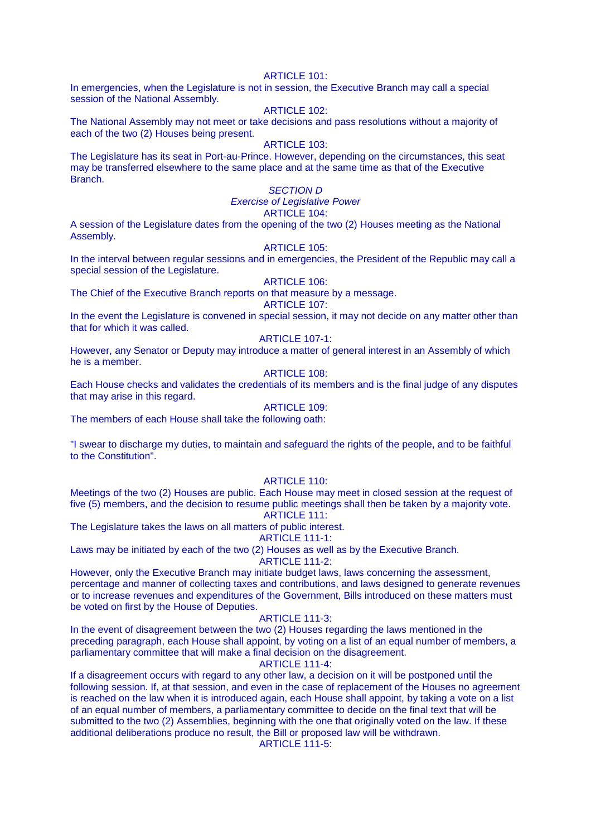#### ARTICLE  $101$ <sup> $\cdot$ </sup>

In emergencies, when the Legislature is not in session, the Executive Branch may call a special session of the National Assembly.

# ARTICLE 102:

The National Assembly may not meet or take decisions and pass resolutions without a majority of each of the two (2) Houses being present.

#### ARTICLE 103:

The Legislature has its seat in Port-au-Prince. However, depending on the circumstances, this seat may be transferred elsewhere to the same place and at the same time as that of the Executive Branch.

# SECTION D

# Exercise of Legislative Power

# ARTICLE 104:

A session of the Legislature dates from the opening of the two (2) Houses meeting as the National Assembly.

#### ARTICLE 105:

In the interval between regular sessions and in emergencies, the President of the Republic may call a special session of the Legislature.

# ARTICLE 106:

The Chief of the Executive Branch reports on that measure by a message.

# ARTICLE 107:

In the event the Legislature is convened in special session, it may not decide on any matter other than that for which it was called.

### ARTICLE 107-1:

However, any Senator or Deputy may introduce a matter of general interest in an Assembly of which he is a member.

# ARTICLE 108:

Each House checks and validates the credentials of its members and is the final judge of any disputes that may arise in this regard.

# ARTICLE 109:

The members of each House shall take the following oath:

"I swear to discharge my duties, to maintain and safeguard the rights of the people, and to be faithful to the Constitution".

#### ARTICLE 110:

Meetings of the two (2) Houses are public. Each House may meet in closed session at the request of five (5) members, and the decision to resume public meetings shall then be taken by a majority vote. ARTICLE 111:

The Legislature takes the laws on all matters of public interest.

# ARTICLE 111-1:

Laws may be initiated by each of the two (2) Houses as well as by the Executive Branch. ARTICLE 111-2:

However, only the Executive Branch may initiate budget laws, laws concerning the assessment, percentage and manner of collecting taxes and contributions, and laws designed to generate revenues or to increase revenues and expenditures of the Government, Bills introduced on these matters must be voted on first by the House of Deputies.

### ARTICLE 111-3:

In the event of disagreement between the two (2) Houses regarding the laws mentioned in the preceding paragraph, each House shall appoint, by voting on a list of an equal number of members, a parliamentary committee that will make a final decision on the disagreement.

ARTICLE 111-4:

If a disagreement occurs with regard to any other law, a decision on it will be postponed until the following session. If, at that session, and even in the case of replacement of the Houses no agreement is reached on the law when it is introduced again, each House shall appoint, by taking a vote on a list of an equal number of members, a parliamentary committee to decide on the final text that will be submitted to the two (2) Assemblies, beginning with the one that originally voted on the law. If these additional deliberations produce no result, the Bill or proposed law will be withdrawn.

ARTICLE 111-5: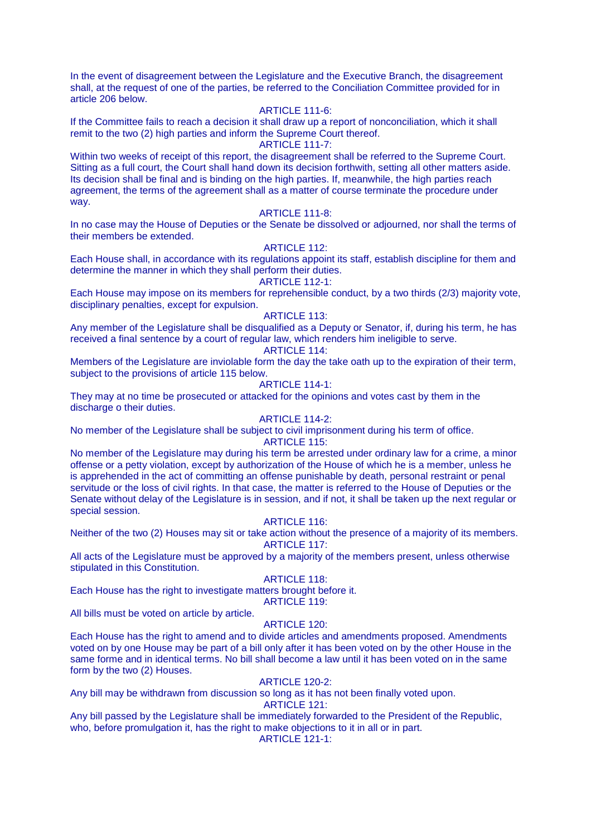In the event of disagreement between the Legislature and the Executive Branch, the disagreement shall, at the request of one of the parties, be referred to the Conciliation Committee provided for in article 206 below.

#### ARTICLE 111-6:

If the Committee fails to reach a decision it shall draw up a report of nonconciliation, which it shall remit to the two (2) high parties and inform the Supreme Court thereof.

#### ARTICLE 111-7:

Within two weeks of receipt of this report, the disagreement shall be referred to the Supreme Court. Sitting as a full court, the Court shall hand down its decision forthwith, setting all other matters aside. Its decision shall be final and is binding on the high parties. If, meanwhile, the high parties reach agreement, the terms of the agreement shall as a matter of course terminate the procedure under way.

#### ARTICLE 111-8:

In no case may the House of Deputies or the Senate be dissolved or adjourned, nor shall the terms of their members be extended.

#### ARTICLE 112:

Each House shall, in accordance with its regulations appoint its staff, establish discipline for them and determine the manner in which they shall perform their duties.

# ARTICLE 112-1:

Each House may impose on its members for reprehensible conduct, by a two thirds (2/3) majority vote, disciplinary penalties, except for expulsion.

## ARTICLE 113:

Any member of the Legislature shall be disqualified as a Deputy or Senator, if, during his term, he has received a final sentence by a court of regular law, which renders him ineligible to serve.

#### ARTICLE 114:

Members of the Legislature are inviolable form the day the take oath up to the expiration of their term, subject to the provisions of article 115 below.

# ARTICLE 114-1:

They may at no time be prosecuted or attacked for the opinions and votes cast by them in the discharge o their duties.

# ARTICLE 114-2:

No member of the Legislature shall be subject to civil imprisonment during his term of office.

# ARTICLE 115:

No member of the Legislature may during his term be arrested under ordinary law for a crime, a minor offense or a petty violation, except by authorization of the House of which he is a member, unless he is apprehended in the act of committing an offense punishable by death, personal restraint or penal servitude or the loss of civil rights. In that case, the matter is referred to the House of Deputies or the Senate without delay of the Legislature is in session, and if not, it shall be taken up the next regular or special session.

#### ARTICLE 116:

Neither of the two (2) Houses may sit or take action without the presence of a majority of its members. ARTICLE 117:

All acts of the Legislature must be approved by a majority of the members present, unless otherwise stipulated in this Constitution.

#### ARTICLE 118:

Each House has the right to investigate matters brought before it. ARTICLE 119:

All bills must be voted on article by article.

# ARTICLE 120:

Each House has the right to amend and to divide articles and amendments proposed. Amendments voted on by one House may be part of a bill only after it has been voted on by the other House in the same forme and in identical terms. No bill shall become a law until it has been voted on in the same form by the two (2) Houses.

# ARTICLE 120-2:

Any bill may be withdrawn from discussion so long as it has not been finally voted upon.

ARTICLE 121:

Any bill passed by the Legislature shall be immediately forwarded to the President of the Republic, who, before promulgation it, has the right to make objections to it in all or in part. ARTICLE 121-1: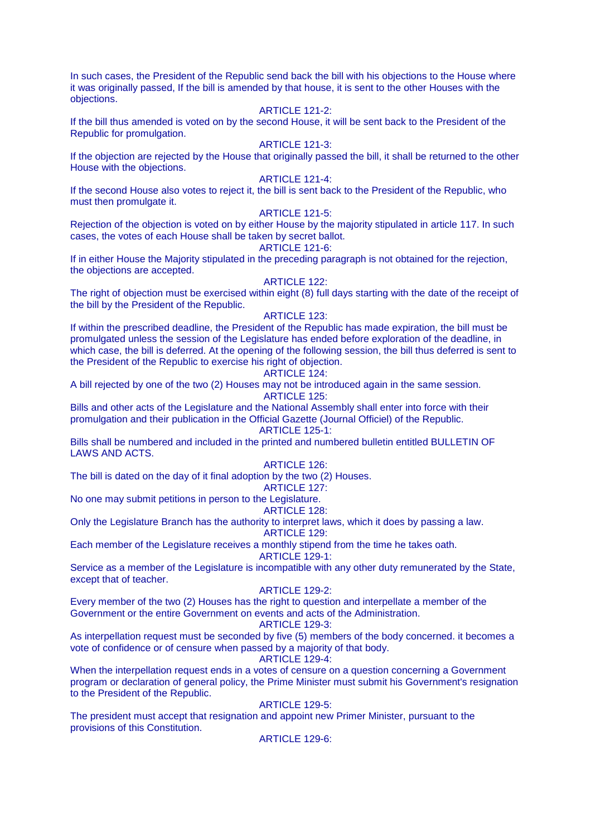In such cases, the President of the Republic send back the bill with his objections to the House where it was originally passed, If the bill is amended by that house, it is sent to the other Houses with the objections.

# ARTICLE 121-2:

If the bill thus amended is voted on by the second House, it will be sent back to the President of the Republic for promulgation.

#### ARTICLE 121-3:

If the objection are rejected by the House that originally passed the bill, it shall be returned to the other House with the objections.

### ARTICLE 121-4:

If the second House also votes to reject it, the bill is sent back to the President of the Republic, who must then promulgate it.

### ARTICLE 121-5:

Rejection of the objection is voted on by either House by the majority stipulated in article 117. In such cases, the votes of each House shall be taken by secret ballot.

#### ARTICLE 121-6:

If in either House the Majority stipulated in the preceding paragraph is not obtained for the rejection, the objections are accepted.

# ARTICLE 122:

The right of objection must be exercised within eight (8) full days starting with the date of the receipt of the bill by the President of the Republic.

#### ARTICLE 123:

If within the prescribed deadline, the President of the Republic has made expiration, the bill must be promulgated unless the session of the Legislature has ended before exploration of the deadline, in which case, the bill is deferred. At the opening of the following session, the bill thus deferred is sent to the President of the Republic to exercise his right of objection.

# ARTICLE 124:

A bill rejected by one of the two (2) Houses may not be introduced again in the same session. ARTICLE 125:

Bills and other acts of the Legislature and the National Assembly shall enter into force with their promulgation and their publication in the Official Gazette (Journal Officiel) of the Republic. ARTICLE 125-1:

Bills shall be numbered and included in the printed and numbered bulletin entitled BULLETIN OF LAWS AND ACTS.

# ARTICLE 126:

The bill is dated on the day of it final adoption by the two (2) Houses.

ARTICLE 127:

No one may submit petitions in person to the Legislature.

# ARTICLE 128:

Only the Legislature Branch has the authority to interpret laws, which it does by passing a law.

ARTICLE 129:

Each member of the Legislature receives a monthly stipend from the time he takes oath.

ARTICLE 129-1:

Service as a member of the Legislature is incompatible with any other duty remunerated by the State, except that of teacher.

#### ARTICLE 129-2:

Every member of the two (2) Houses has the right to question and interpellate a member of the Government or the entire Government on events and acts of the Administration.

#### ARTICLE 129-3:

As interpellation request must be seconded by five (5) members of the body concerned. it becomes a vote of confidence or of censure when passed by a majority of that body.

# ARTICLE 129-4:

When the interpellation request ends in a votes of censure on a question concerning a Government program or declaration of general policy, the Prime Minister must submit his Government's resignation to the President of the Republic.

#### ARTICLE 129-5:

The president must accept that resignation and appoint new Primer Minister, pursuant to the provisions of this Constitution.

ARTICLE 129-6: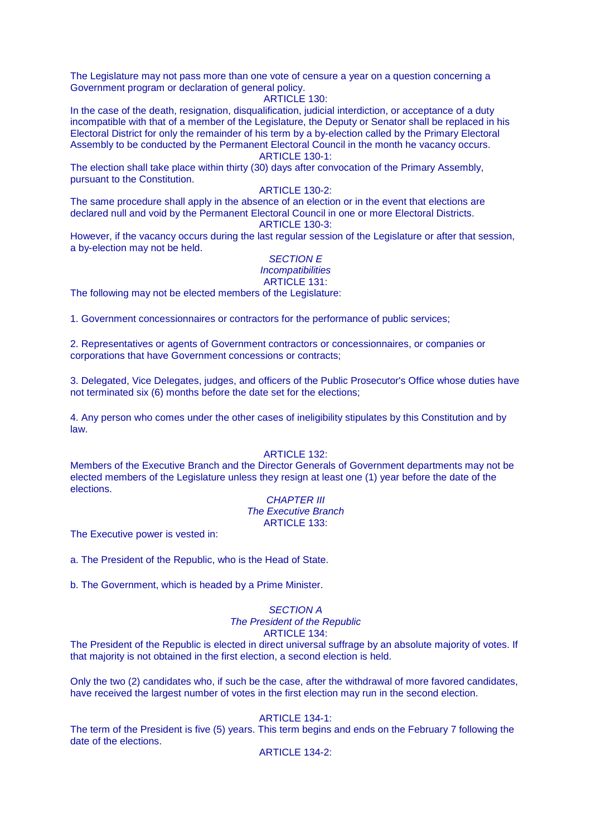The Legislature may not pass more than one vote of censure a year on a question concerning a Government program or declaration of general policy.

#### ARTICLE 130:

In the case of the death, resignation, disqualification, judicial interdiction, or acceptance of a duty incompatible with that of a member of the Legislature, the Deputy or Senator shall be replaced in his Electoral District for only the remainder of his term by a by-election called by the Primary Electoral Assembly to be conducted by the Permanent Electoral Council in the month he vacancy occurs. ARTICLE 130-1:

The election shall take place within thirty (30) days after convocation of the Primary Assembly, pursuant to the Constitution.

#### ARTICLE 130-2:

The same procedure shall apply in the absence of an election or in the event that elections are declared null and void by the Permanent Electoral Council in one or more Electoral Districts. ARTICLE 130-3:

However, if the vacancy occurs during the last regular session of the Legislature or after that session, a by-election may not be held.

#### SECTION E **Incompatibilities** ARTICLE 131:

The following may not be elected members of the Legislature:

1. Government concessionnaires or contractors for the performance of public services;

2. Representatives or agents of Government contractors or concessionnaires, or companies or corporations that have Government concessions or contracts;

3. Delegated, Vice Delegates, judges, and officers of the Public Prosecutor's Office whose duties have not terminated six (6) months before the date set for the elections;

4. Any person who comes under the other cases of ineligibility stipulates by this Constitution and by law.

### ARTICLE 132:

Members of the Executive Branch and the Director Generals of Government departments may not be elected members of the Legislature unless they resign at least one (1) year before the date of the elections.

#### **CHAPTER III** The Executive Branch ARTICLE  $133$

The Executive power is vested in:

a. The President of the Republic, who is the Head of State.

b. The Government, which is headed by a Prime Minister.

### SECTION A The President of the Republic ARTICLE 134:

The President of the Republic is elected in direct universal suffrage by an absolute majority of votes. If that majority is not obtained in the first election, a second election is held.

Only the two (2) candidates who, if such be the case, after the withdrawal of more favored candidates, have received the largest number of votes in the first election may run in the second election.

#### ARTICLE 134-1:

The term of the President is five (5) years. This term begins and ends on the February 7 following the date of the elections.

#### ARTICLE 134-2: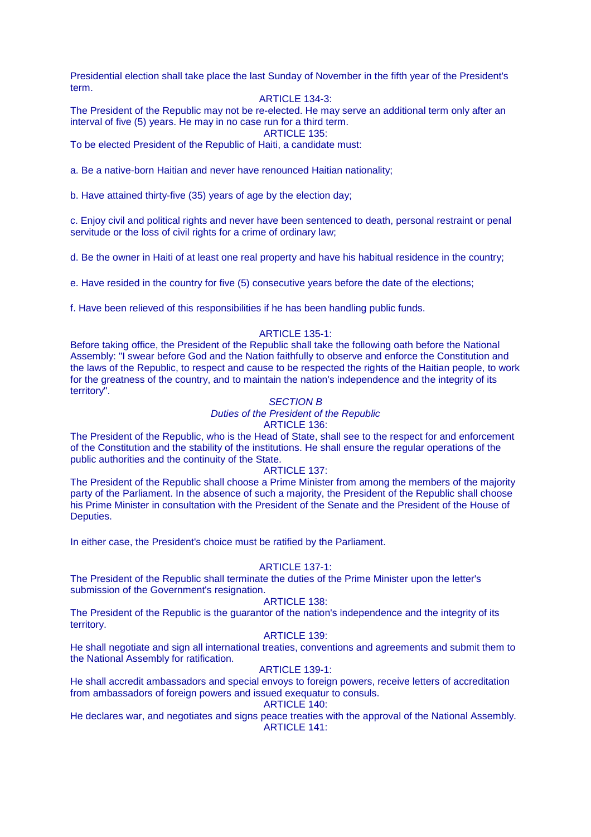Presidential election shall take place the last Sunday of November in the fifth year of the President's term.

# ARTICLE 134-3:

The President of the Republic may not be re-elected. He may serve an additional term only after an interval of five (5) years. He may in no case run for a third term.

ARTICLE 135:

To be elected President of the Republic of Haiti, a candidate must:

a. Be a native-born Haitian and never have renounced Haitian nationality;

b. Have attained thirty-five (35) years of age by the election day;

c. Enjoy civil and political rights and never have been sentenced to death, personal restraint or penal servitude or the loss of civil rights for a crime of ordinary law;

d. Be the owner in Haiti of at least one real property and have his habitual residence in the country;

e. Have resided in the country for five (5) consecutive years before the date of the elections;

f. Have been relieved of this responsibilities if he has been handling public funds.

### ARTICLE 135-1:

Before taking office, the President of the Republic shall take the following oath before the National Assembly: "I swear before God and the Nation faithfully to observe and enforce the Constitution and the laws of the Republic, to respect and cause to be respected the rights of the Haitian people, to work for the greatness of the country, and to maintain the nation's independence and the integrity of its territory".

#### SECTION B

# Duties of the President of the Republic

#### ARTICLE 136:

The President of the Republic, who is the Head of State, shall see to the respect for and enforcement of the Constitution and the stability of the institutions. He shall ensure the regular operations of the public authorities and the continuity of the State.

#### ARTICLE 137:

The President of the Republic shall choose a Prime Minister from among the members of the majority party of the Parliament. In the absence of such a majority, the President of the Republic shall choose his Prime Minister in consultation with the President of the Senate and the President of the House of Deputies.

In either case, the President's choice must be ratified by the Parliament.

### ARTICLE 137-1:

The President of the Republic shall terminate the duties of the Prime Minister upon the letter's submission of the Government's resignation.

#### ARTICLE 138:

The President of the Republic is the guarantor of the nation's independence and the integrity of its territory.

# ARTICLE 139:

He shall negotiate and sign all international treaties, conventions and agreements and submit them to the National Assembly for ratification.

#### ARTICLE 139-1:

He shall accredit ambassadors and special envoys to foreign powers, receive letters of accreditation from ambassadors of foreign powers and issued exequatur to consuls.

# ARTICLE 140:

He declares war, and negotiates and signs peace treaties with the approval of the National Assembly. ARTICLE 141: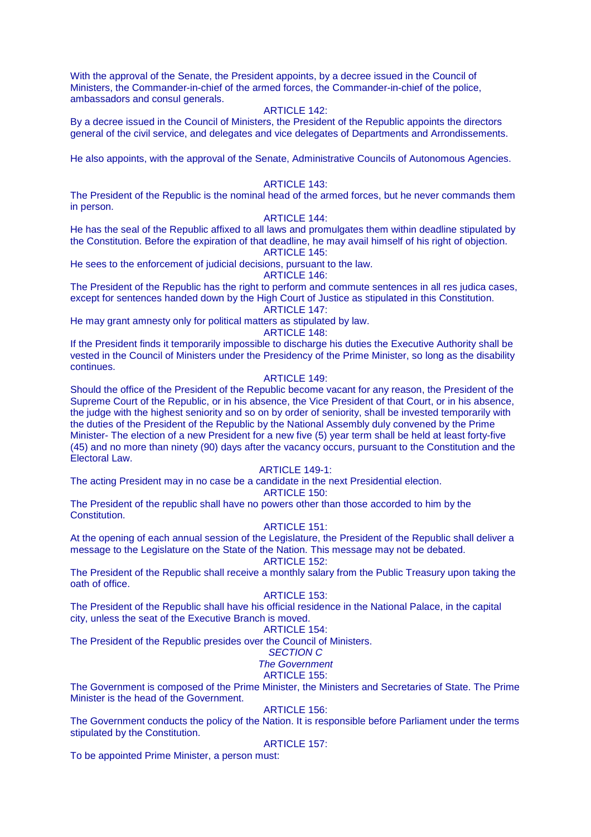With the approval of the Senate, the President appoints, by a decree issued in the Council of Ministers, the Commander-in-chief of the armed forces, the Commander-in-chief of the police, ambassadors and consul generals.

#### ARTICLE 142:

By a decree issued in the Council of Ministers, the President of the Republic appoints the directors general of the civil service, and delegates and vice delegates of Departments and Arrondissements.

He also appoints, with the approval of the Senate, Administrative Councils of Autonomous Agencies.

#### ARTICLE 143:

The President of the Republic is the nominal head of the armed forces, but he never commands them in person.

#### ARTICLE 144:

He has the seal of the Republic affixed to all laws and promulgates them within deadline stipulated by the Constitution. Before the expiration of that deadline, he may avail himself of his right of objection. ARTICLE 145:

He sees to the enforcement of judicial decisions, pursuant to the law.

#### ARTICLE 146:

The President of the Republic has the right to perform and commute sentences in all res judica cases, except for sentences handed down by the High Court of Justice as stipulated in this Constitution.

ARTICLE 147:

He may grant amnesty only for political matters as stipulated by law.

#### ARTICLE 148:

If the President finds it temporarily impossible to discharge his duties the Executive Authority shall be vested in the Council of Ministers under the Presidency of the Prime Minister, so long as the disability continues.

# ARTICLE 149:

Should the office of the President of the Republic become vacant for any reason, the President of the Supreme Court of the Republic, or in his absence, the Vice President of that Court, or in his absence, the judge with the highest seniority and so on by order of seniority, shall be invested temporarily with the duties of the President of the Republic by the National Assembly duly convened by the Prime Minister- The election of a new President for a new five (5) year term shall be held at least forty-five (45) and no more than ninety (90) days after the vacancy occurs, pursuant to the Constitution and the Electoral Law.

#### ARTICLE 149-1:

The acting President may in no case be a candidate in the next Presidential election.

#### ARTICLE 150:

The President of the republic shall have no powers other than those accorded to him by the Constitution.

#### ARTICLE 151:

At the opening of each annual session of the Legislature, the President of the Republic shall deliver a message to the Legislature on the State of the Nation. This message may not be debated.

#### ARTICLE 152:

The President of the Republic shall receive a monthly salary from the Public Treasury upon taking the oath of office.

# ARTICLE 153:

The President of the Republic shall have his official residence in the National Palace, in the capital city, unless the seat of the Executive Branch is moved.

#### ARTICLE 154:

The President of the Republic presides over the Council of Ministers.

#### SECTION C

#### The Government

#### ARTICLE 155:

The Government is composed of the Prime Minister, the Ministers and Secretaries of State. The Prime Minister is the head of the Government.

#### ARTICLE 156:

The Government conducts the policy of the Nation. It is responsible before Parliament under the terms stipulated by the Constitution.

#### ARTICLE 157:

To be appointed Prime Minister, a person must: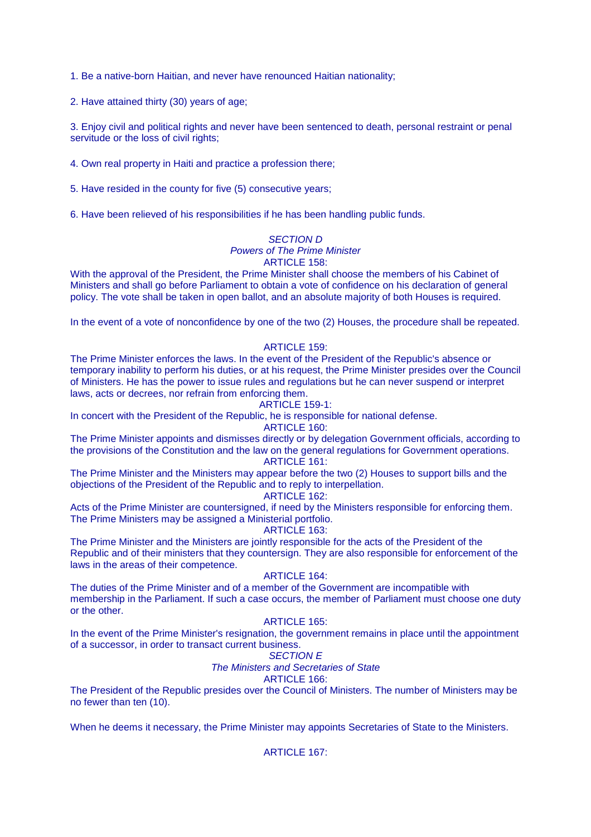1. Be a native-born Haitian, and never have renounced Haitian nationality;

2. Have attained thirty (30) years of age;

3. Enjoy civil and political rights and never have been sentenced to death, personal restraint or penal servitude or the loss of civil rights;

4. Own real property in Haiti and practice a profession there;

5. Have resided in the county for five (5) consecutive years;

6. Have been relieved of his responsibilities if he has been handling public funds.

# SECTION D

# Powers of The Prime Minister

# ARTICLE 158:

With the approval of the President, the Prime Minister shall choose the members of his Cabinet of Ministers and shall go before Parliament to obtain a vote of confidence on his declaration of general policy. The vote shall be taken in open ballot, and an absolute majority of both Houses is required.

In the event of a vote of nonconfidence by one of the two (2) Houses, the procedure shall be repeated.

### ARTICLE 159:

The Prime Minister enforces the laws. In the event of the President of the Republic's absence or temporary inability to perform his duties, or at his request, the Prime Minister presides over the Council of Ministers. He has the power to issue rules and regulations but he can never suspend or interpret laws, acts or decrees, nor refrain from enforcing them.

### ARTICLE 159-1:

In concert with the President of the Republic, he is responsible for national defense.

ARTICLE 160:

The Prime Minister appoints and dismisses directly or by delegation Government officials, according to the provisions of the Constitution and the law on the general regulations for Government operations. ARTICLE 161:

The Prime Minister and the Ministers may appear before the two (2) Houses to support bills and the objections of the President of the Republic and to reply to interpellation.

## ARTICLE 162:

Acts of the Prime Minister are countersigned, if need by the Ministers responsible for enforcing them. The Prime Ministers may be assigned a Ministerial portfolio.

#### ARTICLE 163:

The Prime Minister and the Ministers are jointly responsible for the acts of the President of the Republic and of their ministers that they countersign. They are also responsible for enforcement of the laws in the areas of their competence.

# ARTICLE 164:

The duties of the Prime Minister and of a member of the Government are incompatible with membership in the Parliament. If such a case occurs, the member of Parliament must choose one duty or the other.

# ARTICLE 165:

In the event of the Prime Minister's resignation, the government remains in place until the appointment of a successor, in order to transact current business.

#### SECTION E

#### The Ministers and Secretaries of State

# ARTICLE 166:

The President of the Republic presides over the Council of Ministers. The number of Ministers may be no fewer than ten (10).

When he deems it necessary, the Prime Minister may appoints Secretaries of State to the Ministers.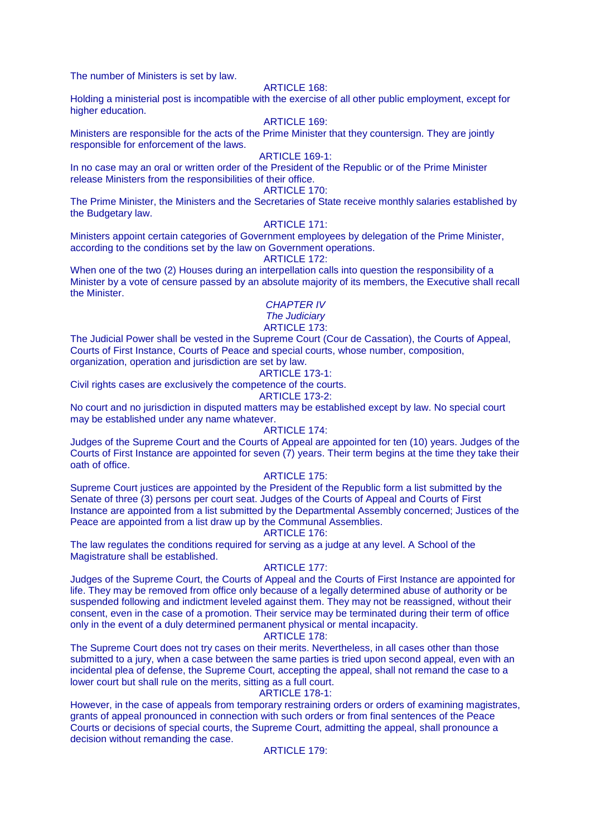The number of Ministers is set by law.

# ARTICLE 168:

Holding a ministerial post is incompatible with the exercise of all other public employment, except for higher education.

#### ARTICLE 169:

Ministers are responsible for the acts of the Prime Minister that they countersign. They are jointly responsible for enforcement of the laws.

#### ARTICLE 169-1:

In no case may an oral or written order of the President of the Republic or of the Prime Minister release Ministers from the responsibilities of their office.

# ARTICLE 170:

The Prime Minister, the Ministers and the Secretaries of State receive monthly salaries established by the Budgetary law.

#### ARTICLE 171:

Ministers appoint certain categories of Government employees by delegation of the Prime Minister, according to the conditions set by the law on Government operations.

#### ARTICLE 172:

When one of the two (2) Houses during an interpellation calls into question the responsibility of a Minister by a vote of censure passed by an absolute majority of its members, the Executive shall recall the Minister.

# CHAPTER IV

# The Judiciary

# ARTICLE 173:

The Judicial Power shall be vested in the Supreme Court (Cour de Cassation), the Courts of Appeal, Courts of First Instance, Courts of Peace and special courts, whose number, composition, organization, operation and jurisdiction are set by law.

# ARTICLE 173-1:

Civil rights cases are exclusively the competence of the courts. ARTICLE 173-2:

No court and no jurisdiction in disputed matters may be established except by law. No special court may be established under any name whatever.

#### ARTICLE 174:

Judges of the Supreme Court and the Courts of Appeal are appointed for ten (10) years. Judges of the Courts of First Instance are appointed for seven (7) years. Their term begins at the time they take their oath of office.

# ARTICLE 175:

Supreme Court justices are appointed by the President of the Republic form a list submitted by the Senate of three (3) persons per court seat. Judges of the Courts of Appeal and Courts of First Instance are appointed from a list submitted by the Departmental Assembly concerned; Justices of the Peace are appointed from a list draw up by the Communal Assemblies. ARTICLE 176:

The law regulates the conditions required for serving as a judge at any level. A School of the Magistrature shall be established.

#### ARTICLE 177:

Judges of the Supreme Court, the Courts of Appeal and the Courts of First Instance are appointed for life. They may be removed from office only because of a legally determined abuse of authority or be suspended following and indictment leveled against them. They may not be reassigned, without their consent, even in the case of a promotion. Their service may be terminated during their term of office only in the event of a duly determined permanent physical or mental incapacity.

#### ARTICLE 178:

The Supreme Court does not try cases on their merits. Nevertheless, in all cases other than those submitted to a jury, when a case between the same parties is tried upon second appeal, even with an incidental plea of defense, the Supreme Court, accepting the appeal, shall not remand the case to a lower court but shall rule on the merits, sitting as a full court.

# ARTICLE 178-1:

However, in the case of appeals from temporary restraining orders or orders of examining magistrates, grants of appeal pronounced in connection with such orders or from final sentences of the Peace Courts or decisions of special courts, the Supreme Court, admitting the appeal, shall pronounce a decision without remanding the case.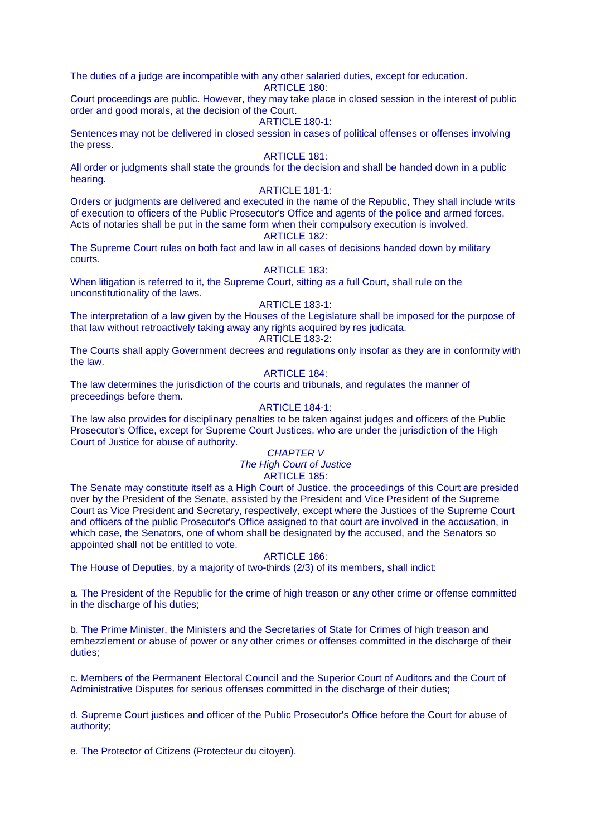The duties of a judge are incompatible with any other salaried duties, except for education.

ARTICLE 180:

Court proceedings are public. However, they may take place in closed session in the interest of public order and good morals, at the decision of the Court.

### ARTICLE 180-1:

Sentences may not be delivered in closed session in cases of political offenses or offenses involving the press.

# ARTICLE 181:

All order or judgments shall state the grounds for the decision and shall be handed down in a public hearing.

# ARTICLE 181-1:

Orders or judgments are delivered and executed in the name of the Republic, They shall include writs of execution to officers of the Public Prosecutor's Office and agents of the police and armed forces. Acts of notaries shall be put in the same form when their compulsory execution is involved.

# ARTICLE 182:

The Supreme Court rules on both fact and law in all cases of decisions handed down by military courts.

### ARTICLE 183:

When litigation is referred to it, the Supreme Court, sitting as a full Court, shall rule on the unconstitutionality of the laws.

# ARTICLE 183-1:

The interpretation of a law given by the Houses of the Legislature shall be imposed for the purpose of that law without retroactively taking away any rights acquired by res judicata. ARTICLE 183-2:

The Courts shall apply Government decrees and regulations only insofar as they are in conformity with the law.

# ARTICLE 184:

The law determines the jurisdiction of the courts and tribunals, and regulates the manner of preceedings before them.

# ARTICLE 184-1:

The law also provides for disciplinary penalties to be taken against judges and officers of the Public Prosecutor's Office, except for Supreme Court Justices, who are under the jurisdiction of the High Court of Justice for abuse of authority.

# CHAPTER V

The High Court of Justice

# ARTICLE 185:

The Senate may constitute itself as a High Court of Justice. the proceedings of this Court are presided over by the President of the Senate, assisted by the President and Vice President of the Supreme Court as Vice President and Secretary, respectively, except where the Justices of the Supreme Court and officers of the public Prosecutor's Office assigned to that court are involved in the accusation, in which case, the Senators, one of whom shall be designated by the accused, and the Senators so appointed shall not be entitled to vote.

#### ARTICLE 186:

The House of Deputies, by a majority of two-thirds (2/3) of its members, shall indict:

a. The President of the Republic for the crime of high treason or any other crime or offense committed in the discharge of his duties;

b. The Prime Minister, the Ministers and the Secretaries of State for Crimes of high treason and embezzlement or abuse of power or any other crimes or offenses committed in the discharge of their duties;

c. Members of the Permanent Electoral Council and the Superior Court of Auditors and the Court of Administrative Disputes for serious offenses committed in the discharge of their duties;

d. Supreme Court justices and officer of the Public Prosecutor's Office before the Court for abuse of authority;

e. The Protector of Citizens (Protecteur du citoyen).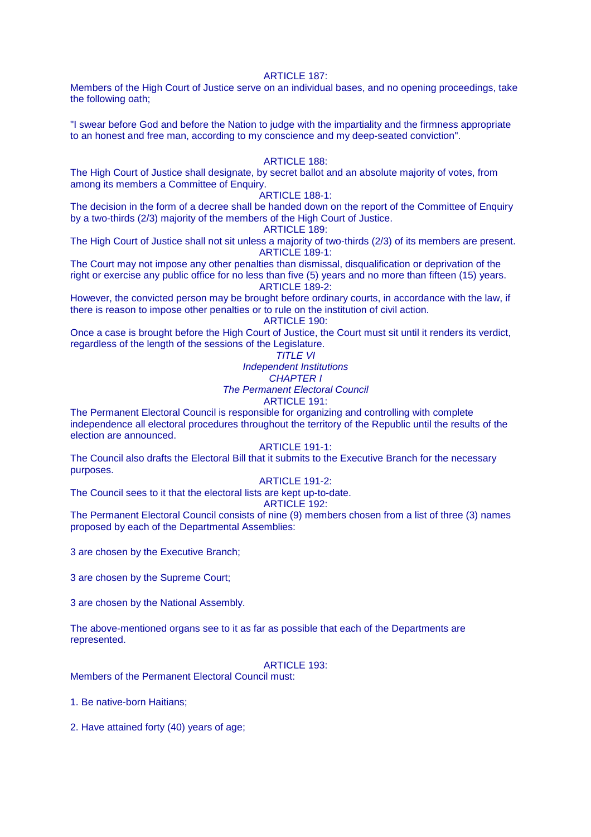#### **ARTICLE 187:**

Members of the High Court of Justice serve on an individual bases, and no opening proceedings, take the following oath;

"I swear before God and before the Nation to judge with the impartiality and the firmness appropriate to an honest and free man, according to my conscience and my deep-seated conviction".

#### ARTICLE 188:

The High Court of Justice shall designate, by secret ballot and an absolute majority of votes, from among its members a Committee of Enquiry.

# ARTICLE 188-1:

The decision in the form of a decree shall be handed down on the report of the Committee of Enquiry by a two-thirds (2/3) majority of the members of the High Court of Justice.

ARTICLE 189:

The High Court of Justice shall not sit unless a majority of two-thirds (2/3) of its members are present. ARTICLE 189-1:

The Court may not impose any other penalties than dismissal, disqualification or deprivation of the right or exercise any public office for no less than five (5) years and no more than fifteen (15) years. ARTICLE 189-2:

However, the convicted person may be brought before ordinary courts, in accordance with the law, if there is reason to impose other penalties or to rule on the institution of civil action.

ARTICLE 190:

Once a case is brought before the High Court of Justice, the Court must sit until it renders its verdict, regardless of the length of the sessions of the Legislature.

# TITLE VI

Independent Institutions

CHAPTER I The Permanent Electoral Council

# ARTICLE 191:

The Permanent Electoral Council is responsible for organizing and controlling with complete independence all electoral procedures throughout the territory of the Republic until the results of the election are announced.

# ARTICLE 191-1:

The Council also drafts the Electoral Bill that it submits to the Executive Branch for the necessary purposes.

# ARTICLE 191-2:

The Council sees to it that the electoral lists are kept up-to-date.

# ARTICLE 192:

The Permanent Electoral Council consists of nine (9) members chosen from a list of three (3) names proposed by each of the Departmental Assemblies:

3 are chosen by the Executive Branch;

3 are chosen by the Supreme Court;

3 are chosen by the National Assembly.

The above-mentioned organs see to it as far as possible that each of the Departments are represented.

# **ARTICLE 193:**

Members of the Permanent Electoral Council must:

1. Be native-born Haitians;

2. Have attained forty (40) years of age;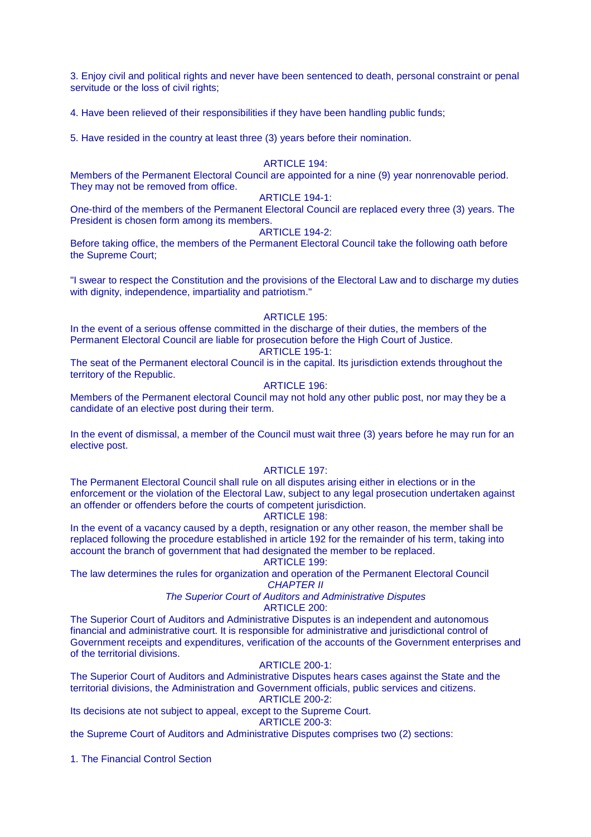3. Enjoy civil and political rights and never have been sentenced to death, personal constraint or penal servitude or the loss of civil rights;

4. Have been relieved of their responsibilities if they have been handling public funds;

5. Have resided in the country at least three (3) years before their nomination.

#### ARTICLE 194:

Members of the Permanent Electoral Council are appointed for a nine (9) year nonrenovable period. They may not be removed from office.

### ARTICLE 194-1:

One-third of the members of the Permanent Electoral Council are replaced every three (3) years. The President is chosen form among its members.

#### ARTICLE 194-2:

Before taking office, the members of the Permanent Electoral Council take the following oath before the Supreme Court;

"I swear to respect the Constitution and the provisions of the Electoral Law and to discharge my duties with dignity, independence, impartiality and patriotism."

#### ARTICLE 195:

In the event of a serious offense committed in the discharge of their duties, the members of the Permanent Electoral Council are liable for prosecution before the High Court of Justice.

# ARTICLE 195-1:

The seat of the Permanent electoral Council is in the capital. Its jurisdiction extends throughout the territory of the Republic.

# ARTICLE 196:

Members of the Permanent electoral Council may not hold any other public post, nor may they be a candidate of an elective post during their term.

In the event of dismissal, a member of the Council must wait three (3) years before he may run for an elective post.

#### ARTICLE 197:

The Permanent Electoral Council shall rule on all disputes arising either in elections or in the enforcement or the violation of the Electoral Law, subject to any legal prosecution undertaken against an offender or offenders before the courts of competent jurisdiction.

# ARTICLE 198:

In the event of a vacancy caused by a depth, resignation or any other reason, the member shall be replaced following the procedure established in article 192 for the remainder of his term, taking into account the branch of government that had designated the member to be replaced. ARTICLE 199:

The law determines the rules for organization and operation of the Permanent Electoral Council

CHAPTER II

The Superior Court of Auditors and Administrative Disputes

ARTICLE 200:

The Superior Court of Auditors and Administrative Disputes is an independent and autonomous financial and administrative court. It is responsible for administrative and jurisdictional control of Government receipts and expenditures, verification of the accounts of the Government enterprises and of the territorial divisions.

#### ARTICLE 200-1:

The Superior Court of Auditors and Administrative Disputes hears cases against the State and the territorial divisions, the Administration and Government officials, public services and citizens. ARTICLE 200-2:

Its decisions ate not subject to appeal, except to the Supreme Court.

ARTICLE 200-3:

the Supreme Court of Auditors and Administrative Disputes comprises two (2) sections:

1. The Financial Control Section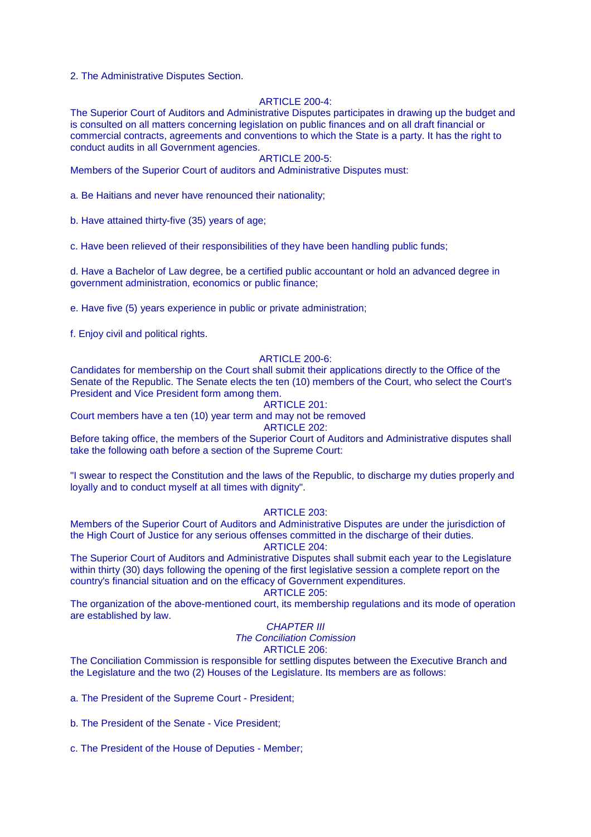2. The Administrative Disputes Section.

#### ARTICLE  $200-4$

The Superior Court of Auditors and Administrative Disputes participates in drawing up the budget and is consulted on all matters concerning legislation on public finances and on all draft financial or commercial contracts, agreements and conventions to which the State is a party. It has the right to conduct audits in all Government agencies.

#### ARTICLE 200-5:

Members of the Superior Court of auditors and Administrative Disputes must:

a. Be Haitians and never have renounced their nationality;

b. Have attained thirty-five (35) years of age;

c. Have been relieved of their responsibilities of they have been handling public funds;

d. Have a Bachelor of Law degree, be a certified public accountant or hold an advanced degree in government administration, economics or public finance;

e. Have five (5) years experience in public or private administration;

f. Enjoy civil and political rights.

#### ARTICLE 200-6:

Candidates for membership on the Court shall submit their applications directly to the Office of the Senate of the Republic. The Senate elects the ten (10) members of the Court, who select the Court's President and Vice President form among them.

# ARTICLE 201:

Court members have a ten (10) year term and may not be removed

ARTICLE 202:

Before taking office, the members of the Superior Court of Auditors and Administrative disputes shall take the following oath before a section of the Supreme Court:

"I swear to respect the Constitution and the laws of the Republic, to discharge my duties properly and loyally and to conduct myself at all times with dignity".

ARTICLE 203:

Members of the Superior Court of Auditors and Administrative Disputes are under the jurisdiction of the High Court of Justice for any serious offenses committed in the discharge of their duties. ARTICLE 204:

The Superior Court of Auditors and Administrative Disputes shall submit each year to the Legislature within thirty (30) days following the opening of the first legislative session a complete report on the country's financial situation and on the efficacy of Government expenditures.

# ARTICLE 205:

The organization of the above-mentioned court, its membership regulations and its mode of operation are established by law.

# CHAPTER III

The Conciliation Comission

# ARTICLE 206:

The Conciliation Commission is responsible for settling disputes between the Executive Branch and the Legislature and the two (2) Houses of the Legislature. Its members are as follows:

a. The President of the Supreme Court - President;

b. The President of the Senate - Vice President;

c. The President of the House of Deputies - Member;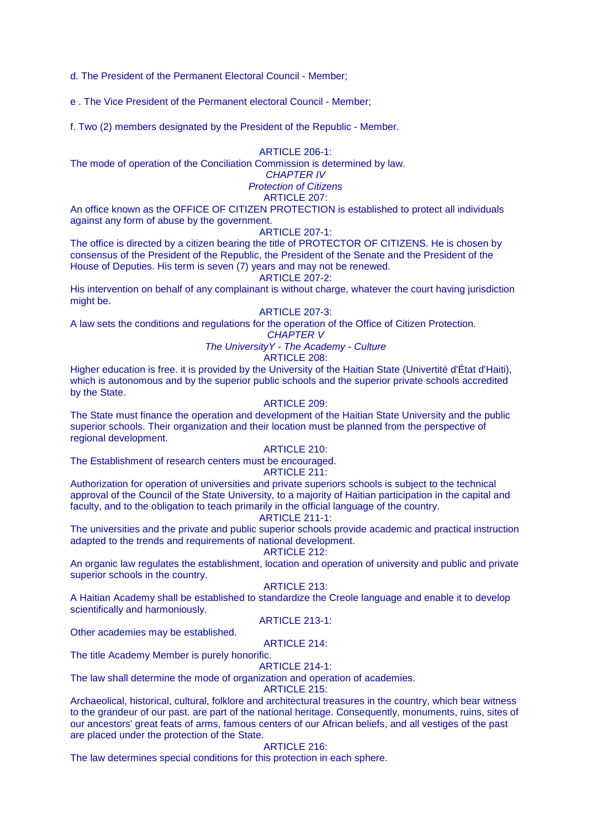d. The President of the Permanent Electoral Council - Member;

e . The Vice President of the Permanent electoral Council - Member;

f. Two (2) members designated by the President of the Republic - Member.

ARTICLE 206-1:

The mode of operation of the Conciliation Commission is determined by law.

# CHAPTER IV Protection of Citizens

# ARTICLE 207:

An office known as the OFFICE OF CITIZEN PROTECTION is established to protect all individuals against any form of abuse by the government.

# ARTICLE 207-1:

The office is directed by a citizen bearing the title of PROTECTOR OF CITIZENS. He is chosen by consensus of the President of the Republic, the President of the Senate and the President of the House of Deputies. His term is seven (7) years and may not be renewed.

#### ARTICLE 207-2:

His intervention on behalf of any complainant is without charge, whatever the court having jurisdiction might be.

#### ARTICLE 207-3:

A law sets the conditions and regulations for the operation of the Office of Citizen Protection.

# CHAPTER V

The UniversityY - The Academy - Culture

# ARTICLE 208:

Higher education is free. it is provided by the University of the Haitian State (Univertité d'État d'Haiti), which is autonomous and by the superior public schools and the superior private schools accredited by the State.

### ARTICLE 209:

The State must finance the operation and development of the Haitian State University and the public superior schools. Their organization and their location must be planned from the perspective of regional development.

# ARTICLE 210:

The Establishment of research centers must be encouraged.

# ARTICLE 211:

Authorization for operation of universities and private superiors schools is subject to the technical approval of the Council of the State University, to a majority of Haitian participation in the capital and faculty, and to the obligation to teach primarily in the official language of the country.

# ARTICLE 211-1:

The universities and the private and public superior schools provide academic and practical instruction adapted to the trends and requirements of national development.

# ARTICLE 212:

An organic law regulates the establishment, location and operation of university and public and private superior schools in the country.

# ARTICLE 213:

A Haitian Academy shall be established to standardize the Creole language and enable it to develop scientifically and harmoniously.

#### ARTICLE 213-1:

Other academies may be established.

# ARTICLE 214:

The title Academy Member is purely honorific.

#### ARTICLE 214-1:

The law shall determine the mode of organization and operation of academies.

### ARTICLE 215:

Archaeolical, historical, cultural, folklore and architectural treasures in the country, which bear witness to the grandeur of our past. are part of the national heritage. Consequently, monuments, ruins, sites of our ancestors' great feats of arms, famous centers of our African beliefs, and all vestiges of the past are placed under the protection of the State.

# ARTICLE 216:

The law determines special conditions for this protection in each sphere.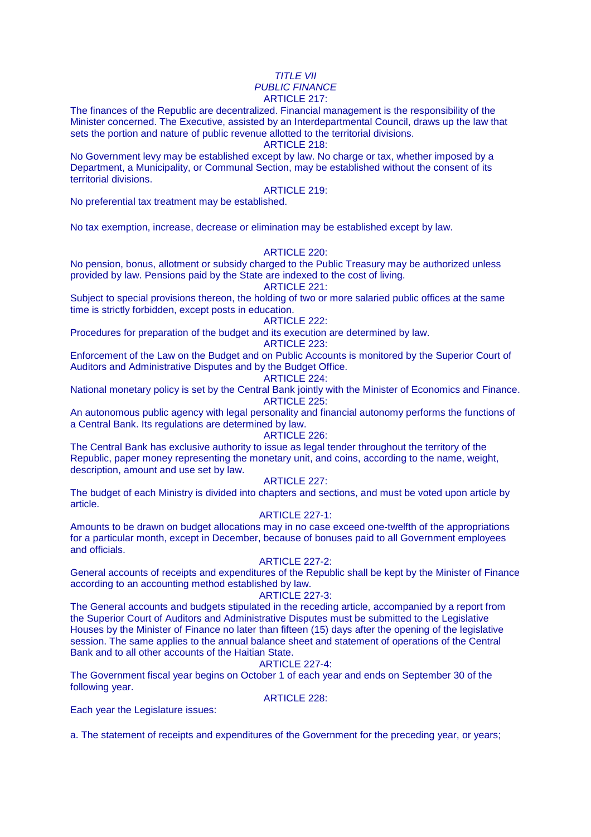#### TITLE VII PUBLIC FINANCE ARTICLE 217:

The finances of the Republic are decentralized. Financial management is the responsibility of the Minister concerned. The Executive, assisted by an Interdepartmental Council, draws up the law that sets the portion and nature of public revenue allotted to the territorial divisions.

ARTICLE 218:

No Government levy may be established except by law. No charge or tax, whether imposed by a Department, a Municipality, or Communal Section, may be established without the consent of its territorial divisions.

#### ARTICLE 219:

No preferential tax treatment may be established.

No tax exemption, increase, decrease or elimination may be established except by law.

ARTICLE 220:

No pension, bonus, allotment or subsidy charged to the Public Treasury may be authorized unless provided by law. Pensions paid by the State are indexed to the cost of living.

ARTICLE 221:

Subject to special provisions thereon, the holding of two or more salaried public offices at the same time is strictly forbidden, except posts in education.

ARTICLE 222:

Procedures for preparation of the budget and its execution are determined by law.

# ARTICLE 223:

Enforcement of the Law on the Budget and on Public Accounts is monitored by the Superior Court of Auditors and Administrative Disputes and by the Budget Office.

ARTICLE 224:

National monetary policy is set by the Central Bank jointly with the Minister of Economics and Finance. ARTICLE 225:

An autonomous public agency with legal personality and financial autonomy performs the functions of a Central Bank. Its regulations are determined by law.

### ARTICLE 226:

The Central Bank has exclusive authority to issue as legal tender throughout the territory of the Republic, paper money representing the monetary unit, and coins, according to the name, weight, description, amount and use set by law.

ARTICLE 227:

The budget of each Ministry is divided into chapters and sections, and must be voted upon article by article.

# ARTICLE 227-1:

Amounts to be drawn on budget allocations may in no case exceed one-twelfth of the appropriations for a particular month, except in December, because of bonuses paid to all Government employees and officials.

#### ARTICLE 227-2:

General accounts of receipts and expenditures of the Republic shall be kept by the Minister of Finance according to an accounting method established by law.

# ARTICLE 227-3:

The General accounts and budgets stipulated in the receding article, accompanied by a report from the Superior Court of Auditors and Administrative Disputes must be submitted to the Legislative Houses by the Minister of Finance no later than fifteen (15) days after the opening of the legislative session. The same applies to the annual balance sheet and statement of operations of the Central Bank and to all other accounts of the Haitian State.

# ARTICLE 227-4:

The Government fiscal year begins on October 1 of each year and ends on September 30 of the following year.

ARTICLE 228:

Each year the Legislature issues:

a. The statement of receipts and expenditures of the Government for the preceding year, or years;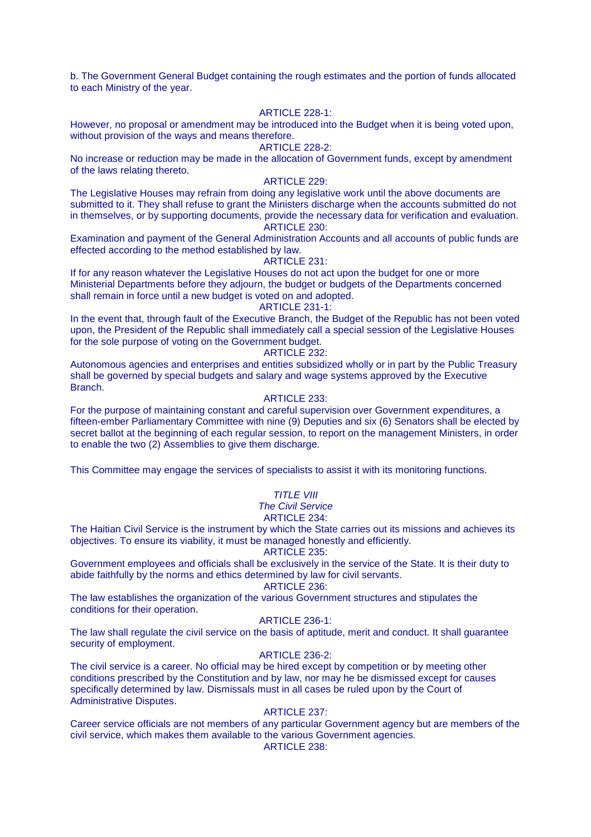b. The Government General Budget containing the rough estimates and the portion of funds allocated to each Ministry of the year.

#### ARTICLE 228-1:

However, no proposal or amendment may be introduced into the Budget when it is being voted upon, without provision of the ways and means therefore.

### ARTICLE 228-2:

No increase or reduction may be made in the allocation of Government funds, except by amendment of the laws relating thereto.

### ARTICLE 229:

The Legislative Houses may refrain from doing any legislative work until the above documents are submitted to it. They shall refuse to grant the Ministers discharge when the accounts submitted do not in themselves, or by supporting documents, provide the necessary data for verification and evaluation. ARTICLE 230:

Examination and payment of the General Administration Accounts and all accounts of public funds are effected according to the method established by law.

#### ARTICLE 231:

If for any reason whatever the Legislative Houses do not act upon the budget for one or more Ministerial Departments before they adjourn, the budget or budgets of the Departments concerned shall remain in force until a new budget is voted on and adopted.

#### ARTICLE 231-1:

In the event that, through fault of the Executive Branch, the Budget of the Republic has not been voted upon, the President of the Republic shall immediately call a special session of the Legislative Houses for the sole purpose of voting on the Government budget.

#### ARTICLE 232:

Autonomous agencies and enterprises and entities subsidized wholly or in part by the Public Treasury shall be governed by special budgets and salary and wage systems approved by the Executive Branch.

#### ARTICLE 233:

For the purpose of maintaining constant and careful supervision over Government expenditures, a fifteen-ember Parliamentary Committee with nine (9) Deputies and six (6) Senators shall be elected by secret ballot at the beginning of each regular session, to report on the management Ministers, in order to enable the two (2) Assemblies to give them discharge.

This Committee may engage the services of specialists to assist it with its monitoring functions.

# TITLE VIII

The Civil Service

# ARTICLE 234:

The Haitian Civil Service is the instrument by which the State carries out its missions and achieves its objectives. To ensure its viability, it must be managed honestly and efficiently.

#### ARTICLE 235:

Government employees and officials shall be exclusively in the service of the State. It is their duty to abide faithfully by the norms and ethics determined by law for civil servants.

ARTICLE 236:

The law establishes the organization of the various Government structures and stipulates the conditions for their operation.

#### ARTICLE 236-1:

The law shall regulate the civil service on the basis of aptitude, merit and conduct. It shall guarantee security of employment.

#### ARTICLE 236-2:

The civil service is a career. No official may be hired except by competition or by meeting other conditions prescribed by the Constitution and by law, nor may he be dismissed except for causes specifically determined by law. Dismissals must in all cases be ruled upon by the Court of Administrative Disputes.

#### ARTICLE 237:

Career service officials are not members of any particular Government agency but are members of the civil service, which makes them available to the various Government agencies.

ARTICLE 238: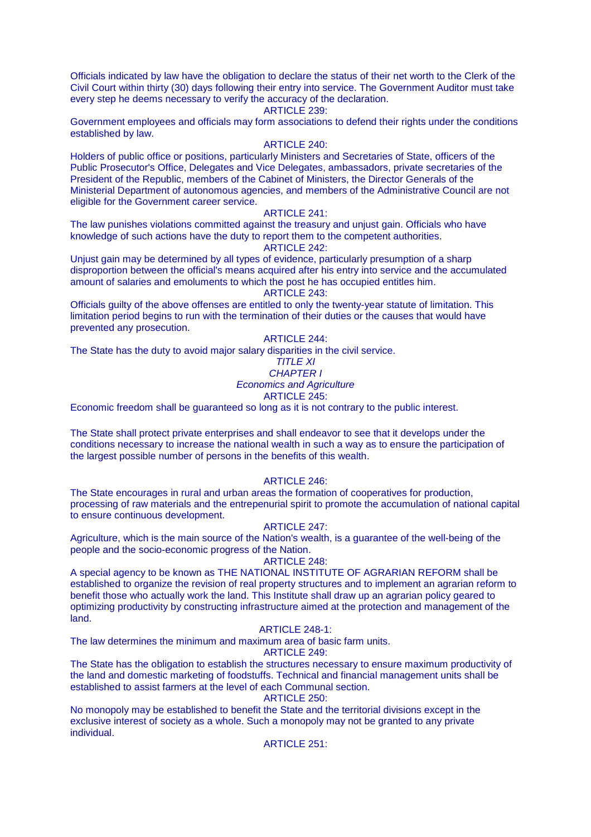Officials indicated by law have the obligation to declare the status of their net worth to the Clerk of the Civil Court within thirty (30) days following their entry into service. The Government Auditor must take every step he deems necessary to verify the accuracy of the declaration.

#### ARTICLE 239:

Government employees and officials may form associations to defend their rights under the conditions established by law.

#### ARTICLE 240:

Holders of public office or positions, particularly Ministers and Secretaries of State, officers of the Public Prosecutor's Office, Delegates and Vice Delegates, ambassadors, private secretaries of the President of the Republic, members of the Cabinet of Ministers, the Director Generals of the Ministerial Department of autonomous agencies, and members of the Administrative Council are not eligible for the Government career service.

#### ARTICLE 241:

The law punishes violations committed against the treasury and unjust gain. Officials who have knowledge of such actions have the duty to report them to the competent authorities.

#### ARTICLE 242:

Unjust gain may be determined by all types of evidence, particularly presumption of a sharp disproportion between the official's means acquired after his entry into service and the accumulated amount of salaries and emoluments to which the post he has occupied entitles him. ARTICLE 243:

Officials guilty of the above offenses are entitled to only the twenty-year statute of limitation. This limitation period begins to run with the termination of their duties or the causes that would have prevented any prosecution.

### ARTICLE 244:

The State has the duty to avoid major salary disparities in the civil service.

#### TITLE XI

# CHAPTER I

# Economics and Agriculture

# ARTICLE 245:

Economic freedom shall be guaranteed so long as it is not contrary to the public interest.

The State shall protect private enterprises and shall endeavor to see that it develops under the conditions necessary to increase the national wealth in such a way as to ensure the participation of the largest possible number of persons in the benefits of this wealth.

#### ARTICLE 246:

The State encourages in rural and urban areas the formation of cooperatives for production, processing of raw materials and the entrepenurial spirit to promote the accumulation of national capital to ensure continuous development.

#### ARTICLE 247:

Agriculture, which is the main source of the Nation's wealth, is a guarantee of the well-being of the people and the socio-economic progress of the Nation.

#### ARTICLE 248:

A special agency to be known as THE NATIONAL INSTITUTE OF AGRARIAN REFORM shall be established to organize the revision of real property structures and to implement an agrarian reform to benefit those who actually work the land. This Institute shall draw up an agrarian policy geared to optimizing productivity by constructing infrastructure aimed at the protection and management of the land.

#### ARTICLE 248-1:

The law determines the minimum and maximum area of basic farm units.

#### ARTICLE 249:

The State has the obligation to establish the structures necessary to ensure maximum productivity of the land and domestic marketing of foodstuffs. Technical and financial management units shall be established to assist farmers at the level of each Communal section.

#### ARTICLE 250:

No monopoly may be established to benefit the State and the territorial divisions except in the exclusive interest of society as a whole. Such a monopoly may not be granted to any private individual.

#### ARTICLE 251: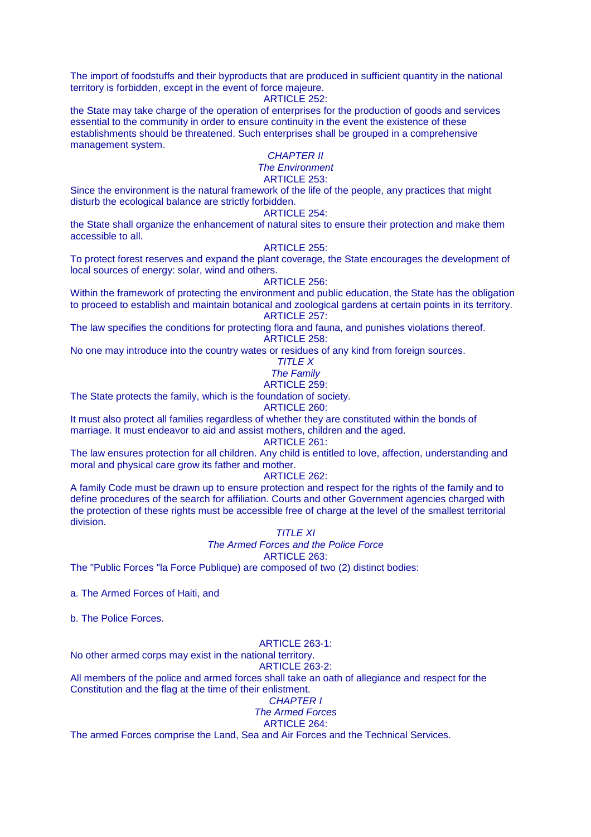The import of foodstuffs and their byproducts that are produced in sufficient quantity in the national territory is forbidden, except in the event of force majeure.

ARTICLE 252:

the State may take charge of the operation of enterprises for the production of goods and services essential to the community in order to ensure continuity in the event the existence of these establishments should be threatened. Such enterprises shall be grouped in a comprehensive management system.

# CHAPTER II

# The Environment

ARTICLE 253:

Since the environment is the natural framework of the life of the people, any practices that might disturb the ecological balance are strictly forbidden.

#### ARTICLE 254:

the State shall organize the enhancement of natural sites to ensure their protection and make them accessible to all.

#### ARTICLE 255:

To protect forest reserves and expand the plant coverage, the State encourages the development of local sources of energy: solar, wind and others.

#### ARTICLE 256:

Within the framework of protecting the environment and public education, the State has the obligation to proceed to establish and maintain botanical and zoological gardens at certain points in its territory. ARTICLE 257:

The law specifies the conditions for protecting flora and fauna, and punishes violations thereof. ARTICLE 258:

No one may introduce into the country wates or residues of any kind from foreign sources.

TITLE X

The Family

ARTICLE 259:

The State protects the family, which is the foundation of society.

# ARTICLE 260:

It must also protect all families regardless of whether they are constituted within the bonds of marriage. It must endeavor to aid and assist mothers, children and the aged.

ARTICLE 261:

The law ensures protection for all children. Any child is entitled to love, affection, understanding and moral and physical care grow its father and mother.

#### ARTICLE 262:

A family Code must be drawn up to ensure protection and respect for the rights of the family and to define procedures of the search for affiliation. Courts and other Government agencies charged with the protection of these rights must be accessible free of charge at the level of the smallest territorial division.

 $TITI$   $F$   $XI$ 

# The Armed Forces and the Police Force ARTICLE 263:

The "Public Forces "la Force Publique) are composed of two (2) distinct bodies:

a. The Armed Forces of Haiti, and

b. The Police Forces.

# ARTICLE 263-1:

No other armed corps may exist in the national territory.

#### ARTICLE 263-2:

All members of the police and armed forces shall take an oath of allegiance and respect for the Constitution and the flag at the time of their enlistment.

# CHAPTER I

# The Armed Forces

ARTICLE 264:

The armed Forces comprise the Land, Sea and Air Forces and the Technical Services.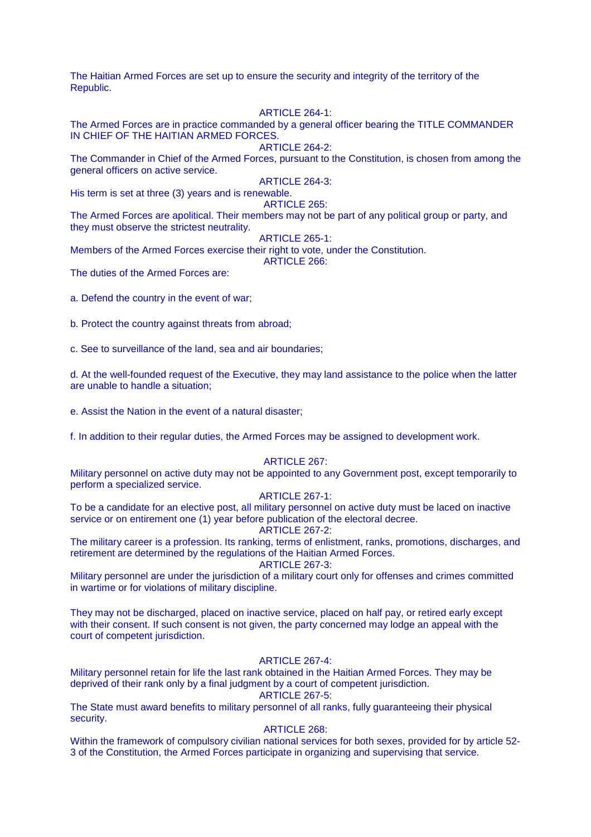The Haitian Armed Forces are set up to ensure the security and integrity of the territory of the Republic.

#### ARTICLE 264-1:

The Armed Forces are in practice commanded by a general officer bearing the TITLE COMMANDER IN CHIEF OF THE HAITIAN ARMED FORCES.

ARTICLE 264-2:

The Commander in Chief of the Armed Forces, pursuant to the Constitution, is chosen from among the general officers on active service.

ARTICLE 264-3:

His term is set at three (3) years and is renewable.

ARTICLE 265: The Armed Forces are apolitical. Their members may not be part of any political group or party, and they must observe the strictest neutrality.

ARTICLE 265-1:

Members of the Armed Forces exercise their right to vote, under the Constitution.

ARTICLE 266:

The duties of the Armed Forces are:

a. Defend the country in the event of war;

b. Protect the country against threats from abroad;

c. See to surveillance of the land, sea and air boundaries;

d. At the well-founded request of the Executive, they may land assistance to the police when the latter are unable to handle a situation;

e. Assist the Nation in the event of a natural disaster;

f. In addition to their regular duties, the Armed Forces may be assigned to development work.

#### ARTICLE 267:

Military personnel on active duty may not be appointed to any Government post, except temporarily to perform a specialized service.

#### ARTICLE 267-1:

To be a candidate for an elective post, all military personnel on active duty must be laced on inactive service or on entirement one (1) year before publication of the electoral decree.

#### ARTICLE 267-2:

The military career is a profession. Its ranking, terms of enlistment, ranks, promotions, discharges, and retirement are determined by the regulations of the Haitian Armed Forces. ARTICLE 267-3:

Military personnel are under the jurisdiction of a military court only for offenses and crimes committed in wartime or for violations of military discipline.

They may not be discharged, placed on inactive service, placed on half pay, or retired early except with their consent. If such consent is not given, the party concerned may lodge an appeal with the court of competent jurisdiction.

#### ARTICLE 267-4:

Military personnel retain for life the last rank obtained in the Haitian Armed Forces. They may be deprived of their rank only by a final judgment by a court of competent jurisdiction.

#### ARTICLE 267-5:

The State must award benefits to military personnel of all ranks, fully guaranteeing their physical security.

#### ARTICLE 268:

Within the framework of compulsory civilian national services for both sexes, provided for by article 52- 3 of the Constitution, the Armed Forces participate in organizing and supervising that service.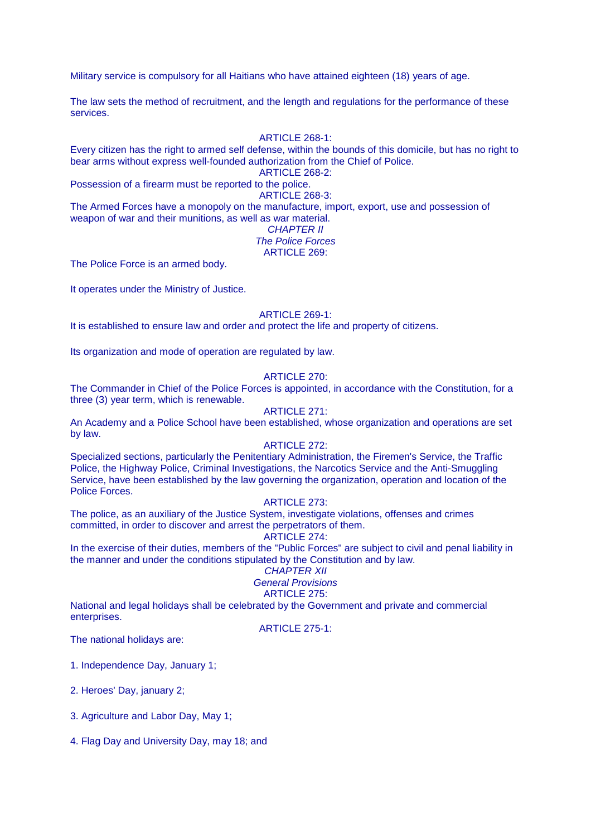Military service is compulsory for all Haitians who have attained eighteen (18) years of age.

The law sets the method of recruitment, and the length and regulations for the performance of these services.

# ARTICLE 268-1:

Every citizen has the right to armed self defense, within the bounds of this domicile, but has no right to bear arms without express well-founded authorization from the Chief of Police. ARTICLE 268-2:

Possession of a firearm must be reported to the police.

#### ARTICLE 268-3:

The Armed Forces have a monopoly on the manufacture, import, export, use and possession of

#### weapon of war and their munitions, as well as war material. CHAPTER II The Police Forces

# ARTICLE 269:

The Police Force is an armed body.

It operates under the Ministry of Justice.

### ARTICLE 269-1:

It is established to ensure law and order and protect the life and property of citizens.

Its organization and mode of operation are regulated by law.

# ARTICLE 270:

The Commander in Chief of the Police Forces is appointed, in accordance with the Constitution, for a three (3) year term, which is renewable.

# ARTICLE 271:

An Academy and a Police School have been established, whose organization and operations are set by law.

# ARTICLE 272:

Specialized sections, particularly the Penitentiary Administration, the Firemen's Service, the Traffic Police, the Highway Police, Criminal Investigations, the Narcotics Service and the Anti-Smuggling Service, have been established by the law governing the organization, operation and location of the Police Forces.

#### ARTICLE 273:

The police, as an auxiliary of the Justice System, investigate violations, offenses and crimes committed, in order to discover and arrest the perpetrators of them.

# ARTICLE 274:

In the exercise of their duties, members of the "Public Forces" are subject to civil and penal liability in the manner and under the conditions stipulated by the Constitution and by law.

#### CHAPTER XII General Provisions

# ARTICLE 275:

National and legal holidays shall be celebrated by the Government and private and commercial enterprises.

ARTICLE 275-1:

The national holidays are:

1. Independence Day, January 1;

2. Heroes' Day, january 2;

3. Agriculture and Labor Day, May 1;

4. Flag Day and University Day, may 18; and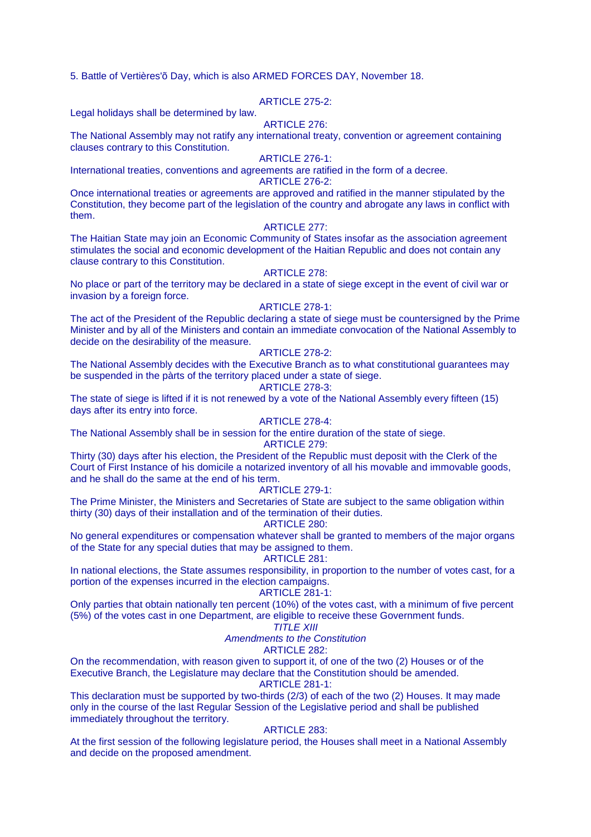5. Battle of Vertières'õ Day, which is also ARMED FORCES DAY, November 18.

# ARTICLE 275-2:

Legal holidays shall be determined by law.

#### ARTICLE 276:

The National Assembly may not ratify any international treaty, convention or agreement containing clauses contrary to this Constitution.

#### ARTICLE 276-1:

International treaties, conventions and agreements are ratified in the form of a decree. ARTICLE 276-2:

Once international treaties or agreements are approved and ratified in the manner stipulated by the Constitution, they become part of the legislation of the country and abrogate any laws in conflict with them.

#### ARTICLE 277:

The Haitian State may join an Economic Community of States insofar as the association agreement stimulates the social and economic development of the Haitian Republic and does not contain any clause contrary to this Constitution.

#### ARTICLE 278:

No place or part of the territory may be declared in a state of siege except in the event of civil war or invasion by a foreign force.

### ARTICLE 278-1:

The act of the President of the Republic declaring a state of siege must be countersigned by the Prime Minister and by all of the Ministers and contain an immediate convocation of the National Assembly to decide on the desirability of the measure.

# ARTICLE 278-2:

The National Assembly decides with the Executive Branch as to what constitutional guarantees may be suspended in the pàrts of the territory placed under a state of siege.

# ARTICLE 278-3:

The state of siege is lifted if it is not renewed by a vote of the National Assembly every fifteen (15) days after its entry into force.

#### ARTICLE 278-4:

The National Assembly shall be in session for the entire duration of the state of siege. ARTICLE 279:

Thirty (30) days after his election, the President of the Republic must deposit with the Clerk of the Court of First Instance of his domicile a notarized inventory of all his movable and immovable goods, and he shall do the same at the end of his term.

#### ARTICLE 279-1:

The Prime Minister, the Ministers and Secretaries of State are subject to the same obligation within thirty (30) days of their installation and of the termination of their duties.

#### ARTICLE 280:

No general expenditures or compensation whatever shall be granted to members of the major organs of the State for any special duties that may be assigned to them.

### ARTICLE 281:

In national elections, the State assumes responsibility, in proportion to the number of votes cast, for a portion of the expenses incurred in the election campaigns.

# ARTICLE 281-1:

Only parties that obtain nationally ten percent (10%) of the votes cast, with a minimum of five percent (5%) of the votes cast in one Department, are eligible to receive these Government funds.

# $TITI$   $F$   $XIII$

#### Amendments to the Constitution

#### ARTICLE 282:

On the recommendation, with reason given to support it, of one of the two (2) Houses or of the Executive Branch, the Legislature may declare that the Constitution should be amended. ARTICLE 281-1:

This declaration must be supported by two-thirds (2/3) of each of the two (2) Houses. It may made only in the course of the last Regular Session of the Legislative period and shall be published immediately throughout the territory.

#### ARTICLE 283:

At the first session of the following legislature period, the Houses shall meet in a National Assembly and decide on the proposed amendment.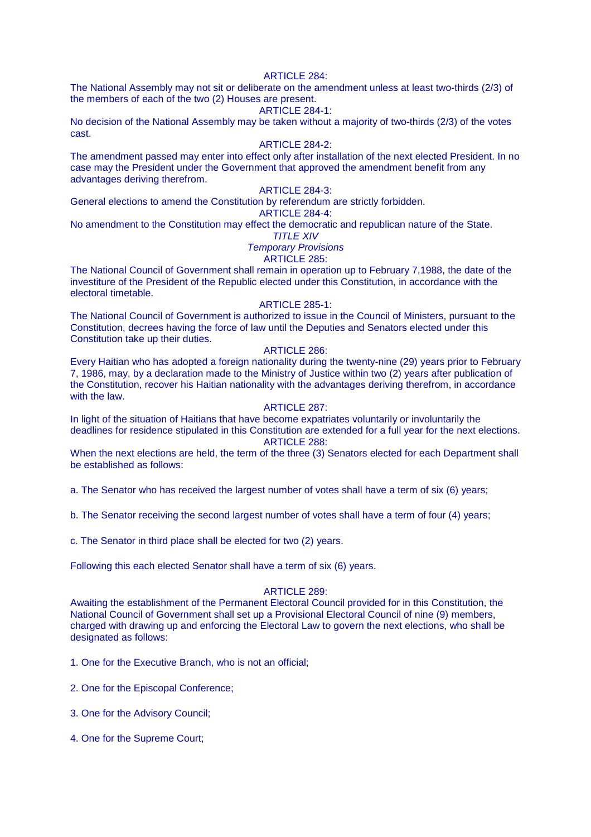### ARTICLE 284:

The National Assembly may not sit or deliberate on the amendment unless at least two-thirds (2/3) of the members of each of the two (2) Houses are present.

#### ARTICLE 284-1:

No decision of the National Assembly may be taken without a majority of two-thirds (2/3) of the votes cast.

# ARTICLE 284-2:

The amendment passed may enter into effect only after installation of the next elected President. In no case may the President under the Government that approved the amendment benefit from any advantages deriving therefrom.

# ARTICLE 284-3:

General elections to amend the Constitution by referendum are strictly forbidden.

# ARTICLE 284-4:

No amendment to the Constitution may effect the democratic and republican nature of the State.

# TITLE XIV

Temporary Provisions

# ARTICLE 285:

The National Council of Government shall remain in operation up to February 7,1988, the date of the investiture of the President of the Republic elected under this Constitution, in accordance with the electoral timetable.

# ARTICLE 285-1:

The National Council of Government is authorized to issue in the Council of Ministers, pursuant to the Constitution, decrees having the force of law until the Deputies and Senators elected under this Constitution take up their duties.

#### ARTICLE 286:

Every Haitian who has adopted a foreign nationality during the twenty-nine (29) years prior to February 7, 1986, may, by a declaration made to the Ministry of Justice within two (2) years after publication of the Constitution, recover his Haitian nationality with the advantages deriving therefrom, in accordance with the law.

# ARTICLE 287:

In light of the situation of Haitians that have become expatriates voluntarily or involuntarily the deadlines for residence stipulated in this Constitution are extended for a full year for the next elections. ARTICLE 288:

When the next elections are held, the term of the three (3) Senators elected for each Department shall be established as follows:

a. The Senator who has received the largest number of votes shall have a term of six (6) years;

b. The Senator receiving the second largest number of votes shall have a term of four (4) years;

c. The Senator in third place shall be elected for two (2) years.

Following this each elected Senator shall have a term of six (6) years.

#### ARTICLE 289:

Awaiting the establishment of the Permanent Electoral Council provided for in this Constitution, the National Council of Government shall set up a Provisional Electoral Council of nine (9) members, charged with drawing up and enforcing the Electoral Law to govern the next elections, who shall be designated as follows:

1. One for the Executive Branch, who is not an official;

- 2. One for the Episcopal Conference;
- 3. One for the Advisory Council;
- 4. One for the Supreme Court;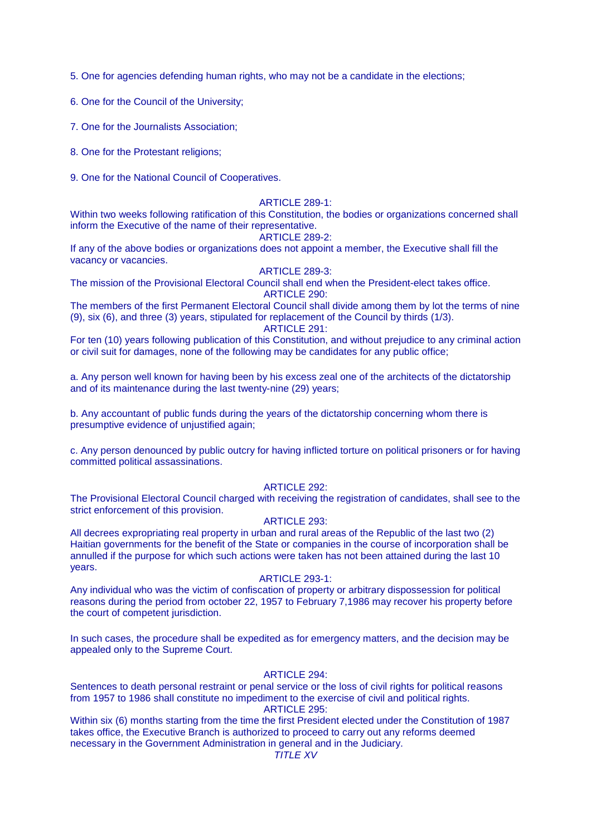5. One for agencies defending human rights, who may not be a candidate in the elections;

6. One for the Council of the University;

7. One for the Journalists Association;

8. One for the Protestant religions;

9. One for the National Council of Cooperatives.

#### ARTICLE 289-1:

Within two weeks following ratification of this Constitution, the bodies or organizations concerned shall inform the Executive of the name of their representative.

#### ARTICLE 289-2:

If any of the above bodies or organizations does not appoint a member, the Executive shall fill the vacancy or vacancies.

#### **ARTICLE 289-3:**

The mission of the Provisional Electoral Council shall end when the President-elect takes office. ARTICLE 290:

The members of the first Permanent Electoral Council shall divide among them by lot the terms of nine (9), six (6), and three (3) years, stipulated for replacement of the Council by thirds (1/3).

#### ARTICLE 291:

For ten (10) years following publication of this Constitution, and without prejudice to any criminal action or civil suit for damages, none of the following may be candidates for any public office;

a. Any person well known for having been by his excess zeal one of the architects of the dictatorship and of its maintenance during the last twenty-nine (29) years;

b. Any accountant of public funds during the years of the dictatorship concerning whom there is presumptive evidence of unjustified again;

c. Any person denounced by public outcry for having inflicted torture on political prisoners or for having committed political assassinations.

#### ARTICLE 292:

The Provisional Electoral Council charged with receiving the registration of candidates, shall see to the strict enforcement of this provision.

# ARTICLE 293:

All decrees expropriating real property in urban and rural areas of the Republic of the last two (2) Haitian governments for the benefit of the State or companies in the course of incorporation shall be annulled if the purpose for which such actions were taken has not been attained during the last 10 years.

#### ARTICLE 293-1:

Any individual who was the victim of confiscation of property or arbitrary dispossession for political reasons during the period from october 22, 1957 to February 7,1986 may recover his property before the court of competent jurisdiction.

In such cases, the procedure shall be expedited as for emergency matters, and the decision may be appealed only to the Supreme Court.

#### ARTICLE 294:

Sentences to death personal restraint or penal service or the loss of civil rights for political reasons from 1957 to 1986 shall constitute no impediment to the exercise of civil and political rights. ARTICLE 295:

Within six (6) months starting from the time the first President elected under the Constitution of 1987 takes office, the Executive Branch is authorized to proceed to carry out any reforms deemed necessary in the Government Administration in general and in the Judiciary.

# **TITLE XV**